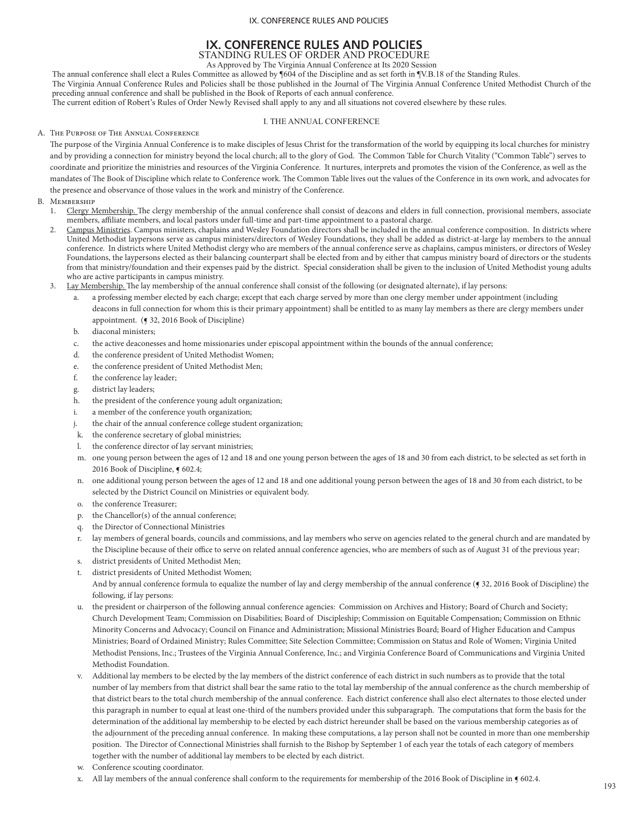# **IX. CONFERENCE RULES AND POLICIES**  STANDING RULES OF ORDER AND PROCEDURE

As Approved by The Virginia Annual Conference at Its 2020 Session

The annual conference shall elect a Rules Committee as allowed by ¶604 of the Discipline and as set forth in ¶V.B.18 of the Standing Rules.

The Virginia Annual Conference Rules and Policies shall be those published in the Journal of The Virginia Annual Conference United Methodist Church of the preceding annual conference and shall be published in the Book of Reports of each annual conference.

The current edition of Robert's Rules of Order Newly Revised shall apply to any and all situations not covered elsewhere by these rules.

### I. THE ANNUAL CONFERENCE

#### A. The Purpose of The Annual Conference

The purpose of the Virginia Annual Conference is to make disciples of Jesus Christ for the transformation of the world by equipping its local churches for ministry and by providing a connection for ministry beyond the local church; all to the glory of God. The Common Table for Church Vitality ("Common Table") serves to coordinate and prioritize the ministries and resources of the Virginia Conference. It nurtures, interprets and promotes the vision of the Conference, as well as the mandates of The Book of Discipline which relate to Conference work. The Common Table lives out the values of the Conference in its own work, and advocates for the presence and observance of those values in the work and ministry of the Conference.

### **MEMBERSHIP**

- 1. Clergy Membership. The clergy membership of the annual conference shall consist of deacons and elders in full connection, provisional members, associate members, affiliate members, and local pastors under full-time and part-time appointment to a pastoral charge.
- 2. Campus Ministries. Campus ministers, chaplains and Wesley Foundation directors shall be included in the annual conference composition. In districts where United Methodist laypersons serve as campus ministers/directors of Wesley Foundations, they shall be added as district-at-large lay members to the annual conference. In districts where United Methodist clergy who are members of the annual conference serve as chaplains, campus ministers, or directors of Wesley Foundations, the laypersons elected as their balancing counterpart shall be elected from and by either that campus ministry board of directors or the students from that ministry/foundation and their expenses paid by the district. Special consideration shall be given to the inclusion of United Methodist young adults who are active participants in campus ministry.
- Lay Membership. The lay membership of the annual conference shall consist of the following (or designated alternate), if lay persons:
	- a professing member elected by each charge; except that each charge served by more than one clergy member under appointment (including deacons in full connection for whom this is their primary appointment) shall be entitled to as many lay members as there are clergy members under appointment. (¶ 32, 2016 Book of Discipline)
	- b. diaconal ministers;
	- c. the active deaconesses and home missionaries under episcopal appointment within the bounds of the annual conference;
	- d. the conference president of United Methodist Women;
	- e. the conference president of United Methodist Men;
	- f. the conference lay leader;
	- g. district lay leaders;
	- h. the president of the conference young adult organization;
	- i. a member of the conference youth organization;
	- the chair of the annual conference college student organization;
	- k. the conference secretary of global ministries;
	- l. the conference director of lay servant ministries;
	- m. one young person between the ages of 12 and 18 and one young person between the ages of 18 and 30 from each district, to be selected as set forth in 2016 Book of Discipline, § 602.4;
	- n. one additional young person between the ages of 12 and 18 and one additional young person between the ages of 18 and 30 from each district, to be selected by the District Council on Ministries or equivalent body.
	- o. the conference Treasurer;
	- p. the Chancellor(s) of the annual conference;
	- q. the Director of Connectional Ministries
	- r. lay members of general boards, councils and commissions, and lay members who serve on agencies related to the general church and are mandated by the Discipline because of their office to serve on related annual conference agencies, who are members of such as of August 31 of the previous year;
	- s. district presidents of United Methodist Men;
	- t. district presidents of United Methodist Women;
	- And by annual conference formula to equalize the number of lay and clergy membership of the annual conference (§ 32, 2016 Book of Discipline) the following, if lay persons:
	- u. the president or chairperson of the following annual conference agencies: Commission on Archives and History; Board of Church and Society; Church Development Team; Commission on Disabilities; Board of Discipleship; Commission on Equitable Compensation; Commission on Ethnic Minority Concerns and Advocacy; Council on Finance and Administration; Missional Ministries Board; Board of Higher Education and Campus Ministries; Board of Ordained Ministry; Rules Committee; Site Selection Committee; Commission on Status and Role of Women; Virginia United Methodist Pensions, Inc.; Trustees of the Virginia Annual Conference, Inc.; and Virginia Conference Board of Communications and Virginia United Methodist Foundation.
	- v. Additional lay members to be elected by the lay members of the district conference of each district in such numbers as to provide that the total number of lay members from that district shall bear the same ratio to the total lay membership of the annual conference as the church membership of that district bears to the total church membership of the annual conference. Each district conference shall also elect alternates to those elected under this paragraph in number to equal at least one-third of the numbers provided under this subparagraph. The computations that form the basis for the determination of the additional lay membership to be elected by each district hereunder shall be based on the various membership categories as of the adjournment of the preceding annual conference. In making these computations, a lay person shall not be counted in more than one membership position. The Director of Connectional Ministries shall furnish to the Bishop by September 1 of each year the totals of each category of members together with the number of additional lay members to be elected by each district.
	- w. Conference scouting coordinator.
	- x. All lay members of the annual conference shall conform to the requirements for membership of the 2016 Book of Discipline in  $\P$  602.4.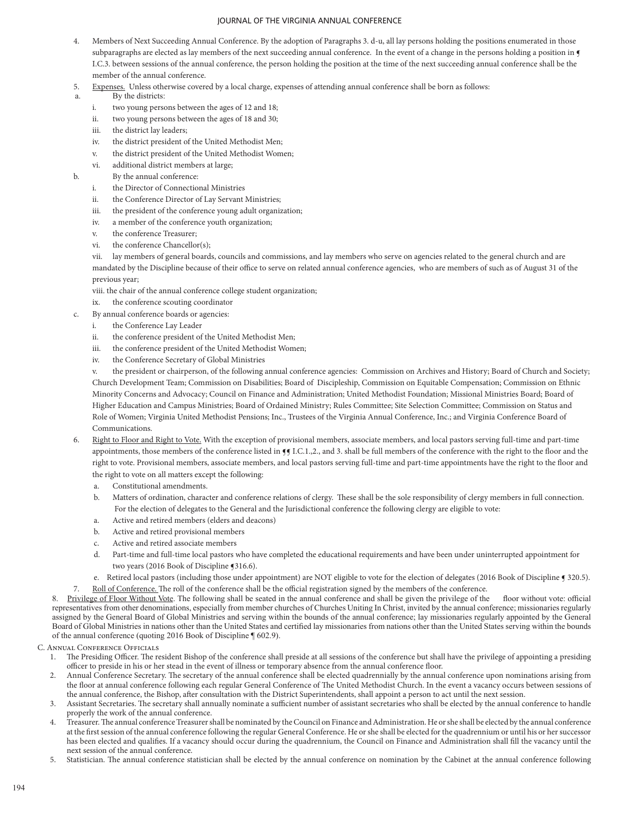- 4. Members of Next Succeeding Annual Conference. By the adoption of Paragraphs 3. d-u, all lay persons holding the positions enumerated in those subparagraphs are elected as lay members of the next succeeding annual conference. In the event of a change in the persons holding a position in I.C.3. between sessions of the annual conference, the person holding the position at the time of the next succeeding annual conference shall be the member of the annual conference.
- 5. Expenses. Unless otherwise covered by a local charge, expenses of attending annual conference shall be born as follows:
- a. By the districts:
	- i. two young persons between the ages of 12 and 18;
	- ii. two young persons between the ages of 18 and 30;
	- iii. the district lay leaders;
	- iv. the district president of the United Methodist Men;
	- v. the district president of the United Methodist Women;
	- vi. additional district members at large;
- b. By the annual conference:
	- i. the Director of Connectional Ministries
	- ii. the Conference Director of Lay Servant Ministries;
	- iii. the president of the conference young adult organization;
	- iv. a member of the conference youth organization;
	- v. the conference Treasurer;
	- vi. the conference Chancellor(s);

vii. lay members of general boards, councils and commissions, and lay members who serve on agencies related to the general church and are mandated by the Discipline because of their office to serve on related annual conference agencies, who are members of such as of August 31 of the previous year;

- viii. the chair of the annual conference college student organization;
- ix. the conference scouting coordinator
- c. By annual conference boards or agencies:
	- i. the Conference Lay Leader
	- ii. the conference president of the United Methodist Men;
	- iii. the conference president of the United Methodist Women;
	- iv. the Conference Secretary of Global Ministries

v. the president or chairperson, of the following annual conference agencies: Commission on Archives and History; Board of Church and Society; Church Development Team; Commission on Disabilities; Board of Discipleship, Commission on Equitable Compensation; Commission on Ethnic Minority Concerns and Advocacy; Council on Finance and Administration; United Methodist Foundation; Missional Ministries Board; Board of Higher Education and Campus Ministries; Board of Ordained Ministry; Rules Committee; Site Selection Committee; Commission on Status and Role of Women; Virginia United Methodist Pensions; Inc., Trustees of the Virginia Annual Conference, Inc.; and Virginia Conference Board of Communications.

- 6. Right to Floor and Right to Vote. With the exception of provisional members, associate members, and local pastors serving full-time and part-time appointments, those members of the conference listed in  $\P$ .C.1.,2., and 3. shall be full members of the conference with the right to the floor and the right to vote. Provisional members, associate members, and local pastors serving full-time and part-time appointments have the right to the floor and the right to vote on all matters except the following:
	- a. Constitutional amendments.
	- b. Matters of ordination, character and conference relations of clergy. These shall be the sole responsibility of clergy members in full connection. For the election of delegates to the General and the Jurisdictional conference the following clergy are eligible to vote:
	- a. Active and retired members (elders and deacons)
	- b. Active and retired provisional members
	- c. Active and retired associate members
	- d. Part-time and full-time local pastors who have completed the educational requirements and have been under uninterrupted appointment for two years (2016 Book of Discipline ¶316.6).
	- e. Retired local pastors (including those under appointment) are NOT eligible to vote for the election of delegates (2016 Book of Discipline  $\P$  320.5).
	- Roll of Conference. The roll of the conference shall be the official registration signed by the members of the conference.

8. Privilege of Floor Without Vote. The following shall be seated in the annual conference and shall be given the privilege of the floor without vote: official representatives from other denominations, especially from member churches of Churches Uniting In Christ, invited by the annual conference; missionaries regularly assigned by the General Board of Global Ministries and serving within the bounds of the annual conference; lay missionaries regularly appointed by the General Board of Global Ministries in nations other than the United States and certified lay missionaries from nations other than the United States serving within the bounds of the annual conference (quoting 2016 Book of Discipline ¶ 602.9).

## C. Annual Conference Officials

- 1. The Presiding Officer. The resident Bishop of the conference shall preside at all sessions of the conference but shall have the privilege of appointing a presiding officer to preside in his or her stead in the event of illness or temporary absence from the annual conference floor.
- 2. Annual Conference Secretary. The secretary of the annual conference shall be elected quadrennially by the annual conference upon nominations arising from the floor at annual conference following each regular General Conference of The United Methodist Church. In the event a vacancy occurs between sessions of the annual conference, the Bishop, after consultation with the District Superintendents, shall appoint a person to act until the next session.
- 3. Assistant Secretaries. The secretary shall annually nominate a sufficient number of assistant secretaries who shall be elected by the annual conference to handle properly the work of the annual conference.
- 4. Treasurer. The annual conference Treasurer shall be nominated by the Council on Finance and Administration. He or she shall be elected by the annual conference at the first session of the annual conference following the regular General Conference. He or she shall be elected for the quadrennium or until his or her successor has been elected and qualifies. If a vacancy should occur during the quadrennium, the Council on Finance and Administration shall fill the vacancy until the next session of the annual conference.
- 5. Statistician. The annual conference statistician shall be elected by the annual conference on nomination by the Cabinet at the annual conference following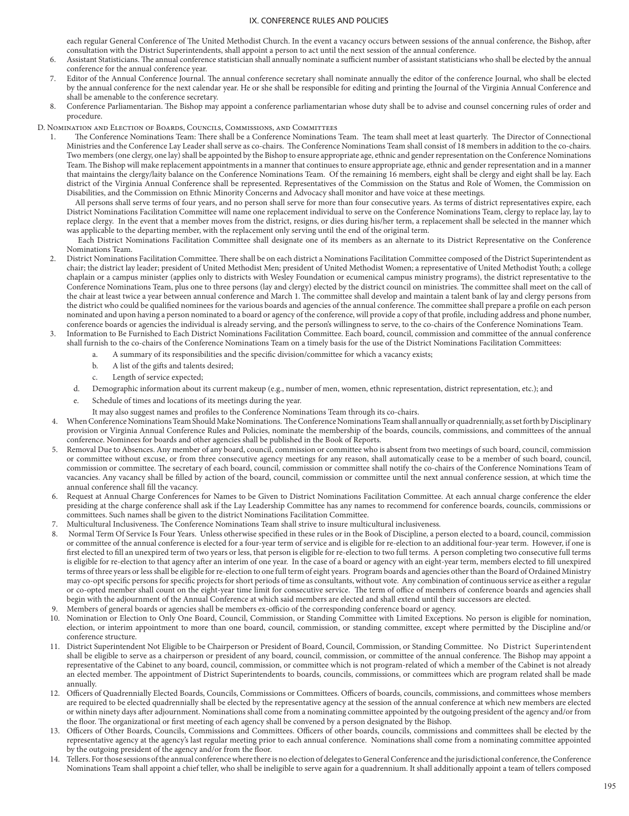each regular General Conference of The United Methodist Church. In the event a vacancy occurs between sessions of the annual conference, the Bishop, after consultation with the District Superintendents, shall appoint a person to act until the next session of the annual conference.

- 6. Assistant Statisticians. The annual conference statistician shall annually nominate a sufficient number of assistant statisticians who shall be elected by the annual conference for the annual conference year.
- 7. Editor of the Annual Conference Journal. The annual conference secretary shall nominate annually the editor of the conference Journal, who shall be elected by the annual conference for the next calendar year. He or she shall be responsible for editing and printing the Journal of the Virginia Annual Conference and shall be amenable to the conference secretary.
- 8. Conference Parliamentarian. The Bishop may appoint a conference parliamentarian whose duty shall be to advise and counsel concerning rules of order and procedure.

D. Nomination and Election of Boards, Councils, Commissions, and Committees

1. The Conference Nominations Team: There shall be a Conference Nominations Team. The team shall meet at least quarterly. The Director of Connectional Ministries and the Conference Lay Leader shall serve as co-chairs. The Conference Nominations Team shall consist of 18 members in addition to the co-chairs. Two members (one clergy, one lay) shall be appointed by the Bishop to ensure appropriate age, ethnic and gender representation on the Conference Nominations Team. The Bishop will make replacement appointments in a manner that continues to ensure appropriate age, ethnic and gender representation and in a manner that maintains the clergy/laity balance on the Conference Nominations Team. Of the remaining 16 members, eight shall be clergy and eight shall be lay. Each district of the Virginia Annual Conference shall be represented. Representatives of the Commission on the Status and Role of Women, the Commission on Disabilities, and the Commission on Ethnic Minority Concerns and Advocacy shall monitor and have voice at these meetings.

All persons shall serve terms of four years, and no person shall serve for more than four consecutive years. As terms of district representatives expire, each District Nominations Facilitation Committee will name one replacement individual to serve on the Conference Nominations Team, clergy to replace lay, lay to replace clergy. In the event that a member moves from the district, resigns, or dies during his/her term, a replacement shall be selected in the manner which was applicable to the departing member, with the replacement only serving until the end of the original term.

 Each District Nominations Facilitation Committee shall designate one of its members as an alternate to its District Representative on the Conference Nominations Team.

- 2. District Nominations Facilitation Committee. There shall be on each district a Nominations Facilitation Committee composed of the District Superintendent as chair; the district lay leader; president of United Methodist Men; president of United Methodist Women; a representative of United Methodist Youth; a college chaplain or a campus minister (applies only to districts with Wesley Foundation or ecumenical campus ministry programs), the district representative to the Conference Nominations Team, plus one to three persons (lay and clergy) elected by the district council on ministries. The committee shall meet on the call of the chair at least twice a year between annual conference and March 1. The committee shall develop and maintain a talent bank of lay and clergy persons from the district who could be qualified nominees for the various boards and agencies of the annual conference. The committee shall prepare a profile on each person nominated and upon having a person nominated to a board or agency of the conference, will provide a copy of that profile, including address and phone number, conference boards or agencies the individual is already serving, and the person's willingness to serve, to the co-chairs of the Conference Nominations Team.
- 3. Information to Be Furnished to Each District Nominations Facilitation Committee. Each board, council, commission and committee of the annual conference shall furnish to the co-chairs of the Conference Nominations Team on a timely basis for the use of the District Nominations Facilitation Committees:
	- a. A summary of its responsibilities and the specific division/committee for which a vacancy exists;
	- b. A list of the gifts and talents desired;
	- c. Length of service expected;
	- d. Demographic information about its current makeup (e.g., number of men, women, ethnic representation, district representation, etc.); and
	- e. Schedule of times and locations of its meetings during the year.
		- It may also suggest names and profiles to the Conference Nominations Team through its co-chairs.
- 4. When Conference Nominations Team Should Make Nominations. The Conference Nominations Team shall annually or quadrennially, as set forth by Disciplinary provision or Virginia Annual Conference Rules and Policies, nominate the membership of the boards, councils, commissions, and committees of the annual conference. Nominees for boards and other agencies shall be published in the Book of Reports.
- 5. Removal Due to Absences. Any member of any board, council, commission or committee who is absent from two meetings of such board, council, commission or committee without excuse, or from three consecutive agency meetings for any reason, shall automatically cease to be a member of such board, council, commission or committee. The secretary of each board, council, commission or committee shall notify the co-chairs of the Conference Nominations Team of vacancies. Any vacancy shall be filled by action of the board, council, commission or committee until the next annual conference session, at which time the annual conference shall fill the vacancy.
- 6. Request at Annual Charge Conferences for Names to be Given to District Nominations Facilitation Committee. At each annual charge conference the elder presiding at the charge conference shall ask if the Lay Leadership Committee has any names to recommend for conference boards, councils, commissions or committees. Such names shall be given to the district Nominations Facilitation Committee.
- 7. Multicultural Inclusiveness. The Conference Nominations Team shall strive to insure multicultural inclusiveness.
- 8. Normal Term Of Service Is Four Years. Unless otherwise specified in these rules or in the Book of Discipline, a person elected to a board, council, commission or committee of the annual conference is elected for a four-year term of service and is eligible for re-election to an additional four-year term. However, if one is first elected to fill an unexpired term of two years or less, that person is eligible for re-election to two full terms. A person completing two consecutive full terms is eligible for re-election to that agency after an interim of one year. In the case of a board or agency with an eight-year term, members elected to fill unexpired terms of three years or less shall be eligible for re-election to one full term of eight years. Program boards and agencies other than the Board of Ordained Ministry may co-opt specific persons for specific projects for short periods of time as consultants, without vote. Any combination of continuous service as either a regular or co-opted member shall count on the eight-year time limit for consecutive service. The term of office of members of conference boards and agencies shall begin with the adjournment of the Annual Conference at which said members are elected and shall extend until their successors are elected.
- Members of general boards or agencies shall be members ex-officio of the corresponding conference board or agency.
- 10. Nomination or Election to Only One Board, Council, Commission, or Standing Committee with Limited Exceptions. No person is eligible for nomination, election, or interim appointment to more than one board, council, commission, or standing committee, except where permitted by the Discipline and/or conference structure.
- 11. District Superintendent Not Eligible to be Chairperson or President of Board, Council, Commission, or Standing Committee. No District Superintendent shall be eligible to serve as a chairperson or president of any board, council, commission, or committee of the annual conference. The Bishop may appoint a representative of the Cabinet to any board, council, commission, or committee which is not program-related of which a member of the Cabinet is not already an elected member. The appointment of District Superintendents to boards, councils, commissions, or committees which are program related shall be made annually.
- 12. Officers of Quadrennially Elected Boards, Councils, Commissions or Committees. Officers of boards, councils, commissions, and committees whose members are required to be elected quadrennially shall be elected by the representative agency at the session of the annual conference at which new members are elected or within ninety days after adjournment. Nominations shall come from a nominating committee appointed by the outgoing president of the agency and/or from the floor. The organizational or first meeting of each agency shall be convened by a person designated by the Bishop.
- 13. Officers of Other Boards, Councils, Commissions and Committees. Officers of other boards, councils, commissions and committees shall be elected by the representative agency at the agency's last regular meeting prior to each annual conference. Nominations shall come from a nominating committee appointed by the outgoing president of the agency and/or from the floor.
- 14. Tellers. For those sessions of the annual conference where there is no election of delegates to General Conference and the jurisdictional conference, the Conference Nominations Team shall appoint a chief teller, who shall be ineligible to serve again for a quadrennium. It shall additionally appoint a team of tellers composed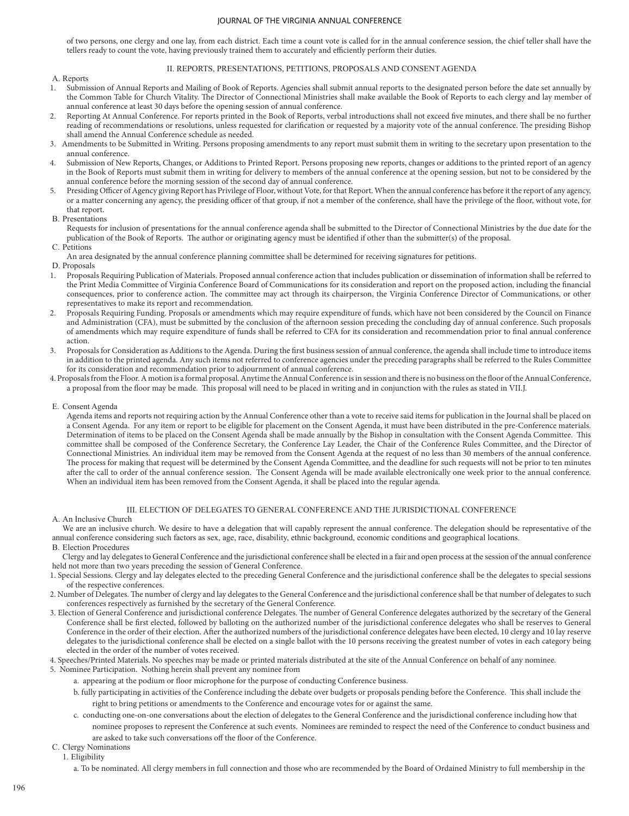of two persons, one clergy and one lay, from each district. Each time a count vote is called for in the annual conference session, the chief teller shall have the tellers ready to count the vote, having previously trained them to accurately and efficiently perform their duties.

### II. REPORTS, PRESENTATIONS, PETITIONS, PROPOSALS AND CONSENT AGENDA

- A. Reports<br>1. Submig
- 1. Submission of Annual Reports and Mailing of Book of Reports. Agencies shall submit annual reports to the designated person before the date set annually by the Common Table for Church Vitality. The Director of Connectional Ministries shall make available the Book of Reports to each clergy and lay member of annual conference at least 30 days before the opening session of annual conference.
- 2. Reporting At Annual Conference. For reports printed in the Book of Reports, verbal introductions shall not exceed five minutes, and there shall be no further reading of recommendations or resolutions, unless requested for clarification or requested by a majority vote of the annual conference. The presiding Bishop shall amend the Annual Conference schedule as needed.
- 3. Amendments to be Submitted in Writing. Persons proposing amendments to any report must submit them in writing to the secretary upon presentation to the annual conference.
- 4. Submission of New Reports, Changes, or Additions to Printed Report. Persons proposing new reports, changes or additions to the printed report of an agency in the Book of Reports must submit them in writing for delivery to members of the annual conference at the opening session, but not to be considered by the annual conference before the morning session of the second day of annual conference.
- 5. Presiding Officer of Agency giving Report has Privilege of Floor, without Vote, for that Report. When the annual conference has before it the report of any agency, or a matter concerning any agency, the presiding officer of that group, if not a member of the conference, shall have the privilege of the floor, without vote, for that report.
- B. Presentations

Requests for inclusion of presentations for the annual conference agenda shall be submitted to the Director of Connectional Ministries by the due date for the publication of the Book of Reports. The author or originating agency must be identified if other than the submitter(s) of the proposal.

C. Petitions

An area designated by the annual conference planning committee shall be determined for receiving signatures for petitions.

D. Proposals

- 1. Proposals Requiring Publication of Materials. Proposed annual conference action that includes publication or dissemination of information shall be referred to the Print Media Committee of Virginia Conference Board of Communications for its consideration and report on the proposed action, including the financial consequences, prior to conference action. The committee may act through its chairperson, the Virginia Conference Director of Communications, or other representatives to make its report and recommendation.
- 2. Proposals Requiring Funding. Proposals or amendments which may require expenditure of funds, which have not been considered by the Council on Finance and Administration (CFA), must be submitted by the conclusion of the afternoon session preceding the concluding day of annual conference. Such proposals of amendments which may require expenditure of funds shall be referred to CFA for its consideration and recommendation prior to final annual conference action.
- 3. Proposals for Consideration as Additions to the Agenda. During the first business session of annual conference, the agenda shall include time to introduce items in addition to the printed agenda. Any such items not referred to conference agencies under the preceding paragraphs shall be referred to the Rules Committee for its consideration and recommendation prior to adjournment of annual conference.

4. Proposals from the Floor. A motion is a formal proposal. Anytime the Annual Conference is in session and there is no business on the floor of the Annual Conference, a proposal from the floor may be made. This proposal will need to be placed in writing and in conjunction with the rules as stated in VII.J.

E. Consent Agenda

Agenda items and reports not requiring action by the Annual Conference other than a vote to receive said items for publication in the Journal shall be placed on a Consent Agenda. For any item or report to be eligible for placement on the Consent Agenda, it must have been distributed in the pre-Conference materials. Determination of items to be placed on the Consent Agenda shall be made annually by the Bishop in consultation with the Consent Agenda Committee. This committee shall be composed of the Conference Secretary, the Conference Lay Leader, the Chair of the Conference Rules Committee, and the Director of Connectional Ministries. An individual item may be removed from the Consent Agenda at the request of no less than 30 members of the annual conference. The process for making that request will be determined by the Consent Agenda Committee, and the deadline for such requests will not be prior to ten minutes after the call to order of the annual conference session. The Consent Agenda will be made available electronically one week prior to the annual conference. When an individual item has been removed from the Consent Agenda, it shall be placed into the regular agenda.

### III. ELECTION OF DELEGATES TO GENERAL CONFERENCE AND THE JURISDICTIONAL CONFERENCE

A. An Inclusive Church

We are an inclusive church. We desire to have a delegation that will capably represent the annual conference. The delegation should be representative of the annual conference considering such factors as sex, age, race, disability, ethnic background, economic conditions and geographical locations.

- B. Election Procedures
- Clergy and lay delegates to General Conference and the jurisdictional conference shall be elected in a fair and open process at the session of the annual conference held not more than two years preceding the session of General Conference.
- 1. Special Sessions. Clergy and lay delegates elected to the preceding General Conference and the jurisdictional conference shall be the delegates to special sessions of the respective conferences.
- 2. Number of Delegates. The number of clergy and lay delegates to the General Conference and the jurisdictional conference shall be that number of delegates to such conferences respectively as furnished by the secretary of the General Conference.
- 3. Election of General Conference and jurisdictional conference Delegates. The number of General Conference delegates authorized by the secretary of the General Conference shall be first elected, followed by balloting on the authorized number of the jurisdictional conference delegates who shall be reserves to General Conference in the order of their election. After the authorized numbers of the jurisdictional conference delegates have been elected, 10 clergy and 10 lay reserve delegates to the jurisdictional conference shall be elected on a single ballot with the 10 persons receiving the greatest number of votes in each category being elected in the order of the number of votes received.
- 4. Speeches/Printed Materials. No speeches may be made or printed materials distributed at the site of the Annual Conference on behalf of any nominee.
- 5. Nominee Participation. Nothing herein shall prevent any nominee from
	- a. appearing at the podium or floor microphone for the purpose of conducting Conference business.
	- b. fully participating in activities of the Conference including the debate over budgets or proposals pending before the Conference. This shall include the right to bring petitions or amendments to the Conference and encourage votes for or against the same.
	- c. conducting one-on-one conversations about the election of delegates to the General Conference and the jurisdictional conference including how that nominee proposes to represent the Conference at such events. Nominees are reminded to respect the need of the Conference to conduct business and
		- are asked to take such conversations off the floor of the Conference.
- C. Clergy Nominations
	- 1. Eligibility
		- a. To be nominated. All clergy members in full connection and those who are recommended by the Board of Ordained Ministry to full membership in the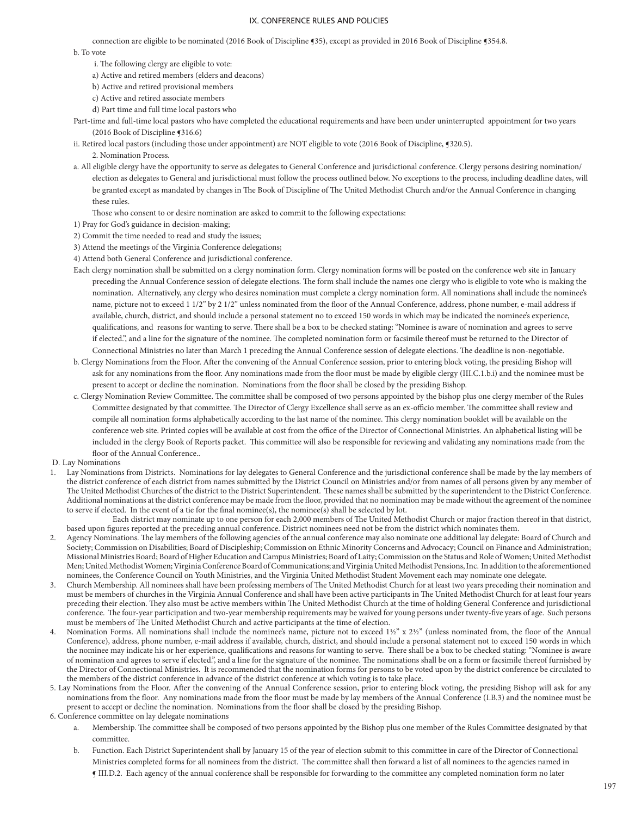connection are eligible to be nominated (2016 Book of Discipline ¶35), except as provided in 2016 Book of Discipline ¶354.8.

b. To vote

- i. The following clergy are eligible to vote:
- a) Active and retired members (elders and deacons)
- b) Active and retired provisional members
- c) Active and retired associate members
- d) Part time and full time local pastors who

Part-time and full-time local pastors who have completed the educational requirements and have been under uninterrupted appointment for two years (2016 Book of Discipline ¶316.6)

ii. Retired local pastors (including those under appointment) are NOT eligible to vote (2016 Book of Discipline, ¶320.5).

2. Nomination Process.

a. All eligible clergy have the opportunity to serve as delegates to General Conference and jurisdictional conference. Clergy persons desiring nomination/ election as delegates to General and jurisdictional must follow the process outlined below. No exceptions to the process, including deadline dates, will be granted except as mandated by changes in The Book of Discipline of The United Methodist Church and/or the Annual Conference in changing these rules.

Those who consent to or desire nomination are asked to commit to the following expectations:

- 1) Pray for God's guidance in decision-making;
- 2) Commit the time needed to read and study the issues;

3) Attend the meetings of the Virginia Conference delegations;

4) Attend both General Conference and jurisdictional conference.

- Each clergy nomination shall be submitted on a clergy nomination form. Clergy nomination forms will be posted on the conference web site in January preceding the Annual Conference session of delegate elections. The form shall include the names one clergy who is eligible to vote who is making the nomination. Alternatively, any clergy who desires nomination must complete a clergy nomination form. All nominations shall include the nominee's name, picture not to exceed 1 1/2" by 2 1/2" unless nominated from the floor of the Annual Conference, address, phone number, e-mail address if available, church, district, and should include a personal statement no to exceed 150 words in which may be indicated the nominee's experience, qualifications, and reasons for wanting to serve. There shall be a box to be checked stating: "Nominee is aware of nomination and agrees to serve if elected.", and a line for the signature of the nominee. The completed nomination form or facsimile thereof must be returned to the Director of Connectional Ministries no later than March 1 preceding the Annual Conference session of delegate elections. The deadline is non-negotiable.
- b. Clergy Nominations from the Floor. After the convening of the Annual Conference session, prior to entering block voting, the presiding Bishop will ask for any nominations from the floor. Any nominations made from the floor must be made by eligible clergy (III.C.1.b.i) and the nominee must be present to accept or decline the nomination. Nominations from the floor shall be closed by the presiding Bishop.
- c. Clergy Nomination Review Committee. The committee shall be composed of two persons appointed by the bishop plus one clergy member of the Rules Committee designated by that committee. The Director of Clergy Excellence shall serve as an ex-officio member. The committee shall review and compile all nomination forms alphabetically according to the last name of the nominee. This clergy nomination booklet will be available on the conference web site. Printed copies will be available at cost from the office of the Director of Connectional Ministries. An alphabetical listing will be included in the clergy Book of Reports packet. This committee will also be responsible for reviewing and validating any nominations made from the floor of the Annual Conference..
- D. Lay Nominations
- 1. Lay Nominations from Districts. Nominations for lay delegates to General Conference and the jurisdictional conference shall be made by the lay members of the district conference of each district from names submitted by the District Council on Ministries and/or from names of all persons given by any member of The United Methodist Churches of the district to the District Superintendent. These names shall be submitted by the superintendent to the District Conference. Additional nominations at the district conference may be made from the floor, provided that no nomination may be made without the agreement of the nominee to serve if elected. In the event of a tie for the final nominee(s), the nominee(s) shall be selected by lot.
	- Each district may nominate up to one person for each 2,000 members of The United Methodist Church or major fraction thereof in that district, based upon figures reported at the preceding annual conference. District nominees need not be from the district which nominates them.
- 2. Agency Nominations. The lay members of the following agencies of the annual conference may also nominate one additional lay delegate: Board of Church and Society; Commission on Disabilities; Board of Discipleship; Commission on Ethnic Minority Concerns and Advocacy; Council on Finance and Administration; Missional Ministries Board; Board of Higher Education and Campus Ministries; Board of Laity; Commission on the Status and Role of Women; United Methodist Men; United Methodist Women; Virginia Conference Board of Communications; and Virginia United Methodist Pensions, Inc. In addition to the aforementioned nominees, the Conference Council on Youth Ministries, and the Virginia United Methodist Student Movement each may nominate one delegate.
- 3. Church Membership. All nominees shall have been professing members of The United Methodist Church for at least two years preceding their nomination and must be members of churches in the Virginia Annual Conference and shall have been active participants in The United Methodist Church for at least four years preceding their election. They also must be active members within The United Methodist Church at the time of holding General Conference and jurisdictional conference. The four-year participation and two-year membership requirements may be waived for young persons under twenty-five years of age. Such persons must be members of The United Methodist Church and active participants at the time of election.
- 4. Nomination Forms. All nominations shall include the nominee's name, picture not to exceed 1½" x 2½" (unless nominated from, the floor of the Annual Conference), address, phone number, e-mail address if available, church, district, and should include a personal statement not to exceed 150 words in which the nominee may indicate his or her experience, qualifications and reasons for wanting to serve. There shall be a box to be checked stating: "Nominee is aware of nomination and agrees to serve if elected.", and a line for the signature of the nominee. The nominations shall be on a form or facsimile thereof furnished by the Director of Connectional Ministries. It is recommended that the nomination forms for persons to be voted upon by the district conference be circulated to the members of the district conference in advance of the district conference at which voting is to take place.
- 5. Lay Nominations from the Floor. After the convening of the Annual Conference session, prior to entering block voting, the presiding Bishop will ask for any nominations from the floor. Any nominations made from the floor must be made by lay members of the Annual Conference (I.B.3) and the nominee must be present to accept or decline the nomination. Nominations from the floor shall be closed by the presiding Bishop.
- 6. Conference committee on lay delegate nominations
	- a. Membership. The committee shall be composed of two persons appointed by the Bishop plus one member of the Rules Committee designated by that committee.
	- b. Function. Each District Superintendent shall by January 15 of the year of election submit to this committee in care of the Director of Connectional Ministries completed forms for all nominees from the district. The committee shall then forward a list of all nominees to the agencies named in ¶ III.D.2. Each agency of the annual conference shall be responsible for forwarding to the committee any completed nomination form no later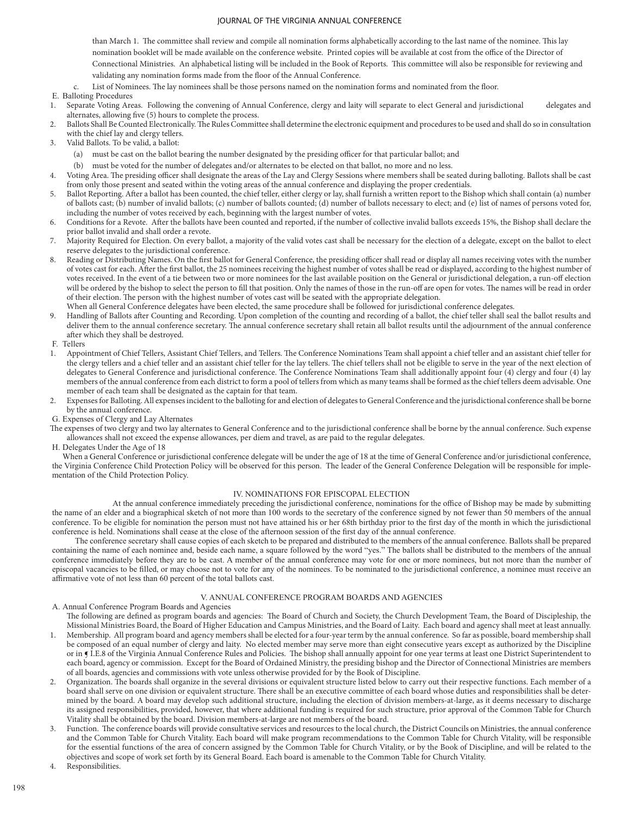than March 1. The committee shall review and compile all nomination forms alphabetically according to the last name of the nominee. This lay nomination booklet will be made available on the conference website. Printed copies will be available at cost from the office of the Director of Connectional Ministries. An alphabetical listing will be included in the Book of Reports. This committee will also be responsible for reviewing and validating any nomination forms made from the floor of the Annual Conference.

- List of Nominees. The lay nominees shall be those persons named on the nomination forms and nominated from the floor.
- E. Balloting Procedures
- Separate Voting Areas. Following the convening of Annual Conference, clergy and laity will separate to elect General and jurisdictional delegates and alternates, allowing five (5) hours to complete the process.
- 2. Ballots Shall Be Counted Electronically. The Rules Committee shall determine the electronic equipment and procedures to be used and shall do so in consultation with the chief lay and clergy tellers.
- 3. Valid Ballots. To be valid, a ballot:
	- (a) must be cast on the ballot bearing the number designated by the presiding officer for that particular ballot; and
	- (b) must be voted for the number of delegates and/or alternates to be elected on that ballot, no more and no less.
- 4. Voting Area. The presiding officer shall designate the areas of the Lay and Clergy Sessions where members shall be seated during balloting. Ballots shall be cast from only those present and seated within the voting areas of the annual conference and displaying the proper credentials.
- 5. Ballot Reporting. After a ballot has been counted, the chief teller, either clergy or lay, shall furnish a written report to the Bishop which shall contain (a) number of ballots cast; (b) number of invalid ballots; (c) number of ballots counted; (d) number of ballots necessary to elect; and (e) list of names of persons voted for, including the number of votes received by each, beginning with the largest number of votes.
- 6. Conditions for a Revote. After the ballots have been counted and reported, if the number of collective invalid ballots exceeds 15%, the Bishop shall declare the prior ballot invalid and shall order a revote.
- 7. Majority Required for Election. On every ballot, a majority of the valid votes cast shall be necessary for the election of a delegate, except on the ballot to elect reserve delegates to the jurisdictional conference.
- 8. Reading or Distributing Names. On the first ballot for General Conference, the presiding officer shall read or display all names receiving votes with the number of votes cast for each. After the first ballot, the 25 nominees receiving the highest number of votes shall be read or displayed, according to the highest number of votes received. In the event of a tie between two or more nominees for the last available position on the General or jurisdictional delegation, a run-off election will be ordered by the bishop to select the person to fill that position. Only the names of those in the run-off are open for votes. The names will be read in order of their election. The person with the highest number of votes cast will be seated with the appropriate delegation.
- When all General Conference delegates have been elected, the same procedure shall be followed for jurisdictional conference delegates.
- 9. Handling of Ballots after Counting and Recording. Upon completion of the counting and recording of a ballot, the chief teller shall seal the ballot results and deliver them to the annual conference secretary. The annual conference secretary shall retain all ballot results until the adjournment of the annual conference after which they shall be destroyed.
- F. Tellers
- 1. Appointment of Chief Tellers, Assistant Chief Tellers, and Tellers. The Conference Nominations Team shall appoint a chief teller and an assistant chief teller for the clergy tellers and a chief teller and an assistant chief teller for the lay tellers. The chief tellers shall not be eligible to serve in the year of the next election of delegates to General Conference and jurisdictional conference. The Conference Nominations Team shall additionally appoint four (4) clergy and four (4) lay members of the annual conference from each district to form a pool of tellers from which as many teams shall be formed as the chief tellers deem advisable. One member of each team shall be designated as the captain for that team.
- 2. Expenses for Balloting. All expenses incident to the balloting for and election of delegates to General Conference and the jurisdictional conference shall be borne by the annual conference.
- G. Expenses of Clergy and Lay Alternates

The expenses of two clergy and two lay alternates to General Conference and to the jurisdictional conference shall be borne by the annual conference. Such expense allowances shall not exceed the expense allowances, per diem and travel, as are paid to the regular delegates.

H. Delegates Under the Age of 18

When a General Conference or jurisdictional conference delegate will be under the age of 18 at the time of General Conference and/or jurisdictional conference, the Virginia Conference Child Protection Policy will be observed for this person. The leader of the General Conference Delegation will be responsible for implementation of the Child Protection Policy.

### IV. NOMINATIONS FOR EPISCOPAL ELECTION

At the annual conference immediately preceding the jurisdictional conference, nominations for the office of Bishop may be made by submitting the name of an elder and a biographical sketch of not more than 100 words to the secretary of the conference signed by not fewer than 50 members of the annual conference. To be eligible for nomination the person must not have attained his or her 68th birthday prior to the first day of the month in which the jurisdictional conference is held. Nominations shall cease at the close of the afternoon session of the first day of the annual conference.

 The conference secretary shall cause copies of each sketch to be prepared and distributed to the members of the annual conference. Ballots shall be prepared containing the name of each nominee and, beside each name, a square followed by the word "yes." The ballots shall be distributed to the members of the annual conference immediately before they are to be cast. A member of the annual conference may vote for one or more nominees, but not more than the number of episcopal vacancies to be filled, or may choose not to vote for any of the nominees. To be nominated to the jurisdictional conference, a nominee must receive an affirmative vote of not less than 60 percent of the total ballots cast.

## V. ANNUAL CONFERENCE PROGRAM BOARDS AND AGENCIES

A. Annual Conference Program Boards and Agencies

The following are defined as program boards and agencies: The Board of Church and Society, the Church Development Team, the Board of Discipleship, the Missional Ministries Board, the Board of Higher Education and Campus Ministries, and the Board of Laity. Each board and agency shall meet at least annually.

- 1. Membership. All program board and agency members shall be elected for a four-year term by the annual conference. So far as possible, board membership shall be composed of an equal number of clergy and laity. No elected member may serve more than eight consecutive years except as authorized by the Discipline or in ¶ I.E.8 of the Virginia Annual Conference Rules and Policies. The bishop shall annually appoint for one year terms at least one District Superintendent to each board, agency or commission. Except for the Board of Ordained Ministry, the presiding bishop and the Director of Connectional Ministries are members of all boards, agencies and commissions with vote unless otherwise provided for by the Book of Discipline.
- 2. Organization. The boards shall organize in the several divisions or equivalent structure listed below to carry out their respective functions. Each member of a board shall serve on one division or equivalent structure. There shall be an executive committee of each board whose duties and responsibilities shall be determined by the board. A board may develop such additional structure, including the election of division members-at-large, as it deems necessary to discharge its assigned responsibilities, provided, however, that where additional funding is required for such structure, prior approval of the Common Table for Church Vitality shall be obtained by the board. Division members-at-large are not members of the board.
- 3. Function. The conference boards will provide consultative services and resources to the local church, the District Councils on Ministries, the annual conference and the Common Table for Church Vitality. Each board will make program recommendations to the Common Table for Church Vitality, will be responsible for the essential functions of the area of concern assigned by the Common Table for Church Vitality, or by the Book of Discipline, and will be related to the objectives and scope of work set forth by its General Board. Each board is amenable to the Common Table for Church Vitality.

Responsibilities.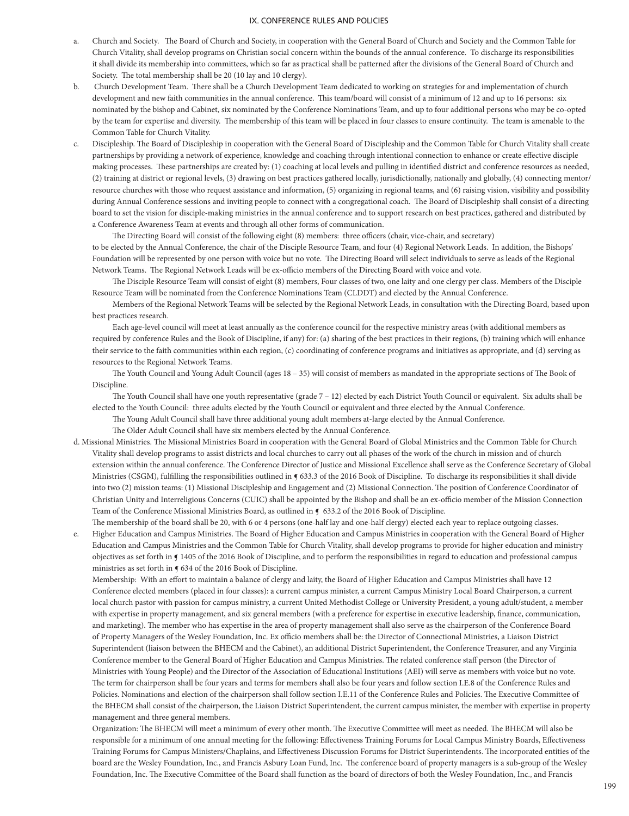- a. Church and Society. The Board of Church and Society, in cooperation with the General Board of Church and Society and the Common Table for Church Vitality, shall develop programs on Christian social concern within the bounds of the annual conference. To discharge its responsibilities it shall divide its membership into committees, which so far as practical shall be patterned after the divisions of the General Board of Church and Society. The total membership shall be 20 (10 lay and 10 clergy).
- b. Church Development Team. There shall be a Church Development Team dedicated to working on strategies for and implementation of church development and new faith communities in the annual conference. This team/board will consist of a minimum of 12 and up to 16 persons: six nominated by the bishop and Cabinet, six nominated by the Conference Nominations Team, and up to four additional persons who may be co-opted by the team for expertise and diversity. The membership of this team will be placed in four classes to ensure continuity. The team is amenable to the Common Table for Church Vitality.
- c. Discipleship. The Board of Discipleship in cooperation with the General Board of Discipleship and the Common Table for Church Vitality shall create partnerships by providing a network of experience, knowledge and coaching through intentional connection to enhance or create effective disciple making processes. These partnerships are created by: (1) coaching at local levels and pulling in identified district and conference resources as needed, (2) training at district or regional levels, (3) drawing on best practices gathered locally, jurisdictionally, nationally and globally, (4) connecting mentor/ resource churches with those who request assistance and information, (5) organizing in regional teams, and (6) raising vision, visibility and possibility during Annual Conference sessions and inviting people to connect with a congregational coach. The Board of Discipleship shall consist of a directing board to set the vision for disciple-making ministries in the annual conference and to support research on best practices, gathered and distributed by a Conference Awareness Team at events and through all other forms of communication.

 The Directing Board will consist of the following eight (8) members: three officers (chair, vice-chair, and secretary) to be elected by the Annual Conference, the chair of the Disciple Resource Team, and four (4) Regional Network Leads. In addition, the Bishops' Foundation will be represented by one person with voice but no vote. The Directing Board will select individuals to serve as leads of the Regional Network Teams. The Regional Network Leads will be ex-officio members of the Directing Board with voice and vote.

 The Disciple Resource Team will consist of eight (8) members, Four classes of two, one laity and one clergy per class. Members of the Disciple Resource Team will be nominated from the Conference Nominations Team (CLDDT) and elected by the Annual Conference.

 Members of the Regional Network Teams will be selected by the Regional Network Leads, in consultation with the Directing Board, based upon best practices research.

 Each age-level council will meet at least annually as the conference council for the respective ministry areas (with additional members as required by conference Rules and the Book of Discipline, if any) for: (a) sharing of the best practices in their regions, (b) training which will enhance their service to the faith communities within each region, (c) coordinating of conference programs and initiatives as appropriate, and (d) serving as resources to the Regional Network Teams.

 The Youth Council and Young Adult Council (ages 18 – 35) will consist of members as mandated in the appropriate sections of The Book of Discipline.

 The Youth Council shall have one youth representative (grade 7 – 12) elected by each District Youth Council or equivalent. Six adults shall be elected to the Youth Council: three adults elected by the Youth Council or equivalent and three elected by the Annual Conference.

The Young Adult Council shall have three additional young adult members at-large elected by the Annual Conference.

The Older Adult Council shall have six members elected by the Annual Conference.

- d. Missional Ministries. The Missional Ministries Board in cooperation with the General Board of Global Ministries and the Common Table for Church Vitality shall develop programs to assist districts and local churches to carry out all phases of the work of the church in mission and of church extension within the annual conference. The Conference Director of Justice and Missional Excellence shall serve as the Conference Secretary of Global Ministries (CSGM), fulfilling the responsibilities outlined in  $\P$  633.3 of the 2016 Book of Discipline. To discharge its responsibilities it shall divide into two (2) mission teams: (1) Missional Discipleship and Engagement and (2) Missional Connection. The position of Conference Coordinator of Christian Unity and Interreligious Concerns (CUIC) shall be appointed by the Bishop and shall be an ex-officio member of the Mission Connection Team of the Conference Missional Ministries Board, as outlined in  $\int$  633.2 of the 2016 Book of Discipline.
- The membership of the board shall be 20, with 6 or 4 persons (one-half lay and one-half clergy) elected each year to replace outgoing classes. e. Higher Education and Campus Ministries. The Board of Higher Education and Campus Ministries in cooperation with the General Board of Higher Education and Campus Ministries and the Common Table for Church Vitality, shall develop programs to provide for higher education and ministry objectives as set forth in  $\P$  1405 of the 2016 Book of Discipline, and to perform the responsibilities in regard to education and professional campus ministries as set forth in ¶ 634 of the 2016 Book of Discipline.

Membership: With an effort to maintain a balance of clergy and laity, the Board of Higher Education and Campus Ministries shall have 12 Conference elected members (placed in four classes): a current campus minister, a current Campus Ministry Local Board Chairperson, a current local church pastor with passion for campus ministry, a current United Methodist College or University President, a young adult/student, a member with expertise in property management, and six general members (with a preference for expertise in executive leadership, finance, communication, and marketing). The member who has expertise in the area of property management shall also serve as the chairperson of the Conference Board of Property Managers of the Wesley Foundation, Inc. Ex officio members shall be: the Director of Connectional Ministries, a Liaison District Superintendent (liaison between the BHECM and the Cabinet), an additional District Superintendent, the Conference Treasurer, and any Virginia Conference member to the General Board of Higher Education and Campus Ministries. The related conference staff person (the Director of Ministries with Young People) and the Director of the Association of Educational Institutions (AEI) will serve as members with voice but no vote. The term for chairperson shall be four years and terms for members shall also be four years and follow section I.E.8 of the Conference Rules and Policies. Nominations and election of the chairperson shall follow section I.E.11 of the Conference Rules and Policies. The Executive Committee of the BHECM shall consist of the chairperson, the Liaison District Superintendent, the current campus minister, the member with expertise in property management and three general members.

Organization: The BHECM will meet a minimum of every other month. The Executive Committee will meet as needed. The BHECM will also be responsible for a minimum of one annual meeting for the following: Effectiveness Training Forums for Local Campus Ministry Boards, Effectiveness Training Forums for Campus Ministers/Chaplains, and Effectiveness Discussion Forums for District Superintendents. The incorporated entities of the board are the Wesley Foundation, Inc., and Francis Asbury Loan Fund, Inc. The conference board of property managers is a sub-group of the Wesley Foundation, Inc. The Executive Committee of the Board shall function as the board of directors of both the Wesley Foundation, Inc., and Francis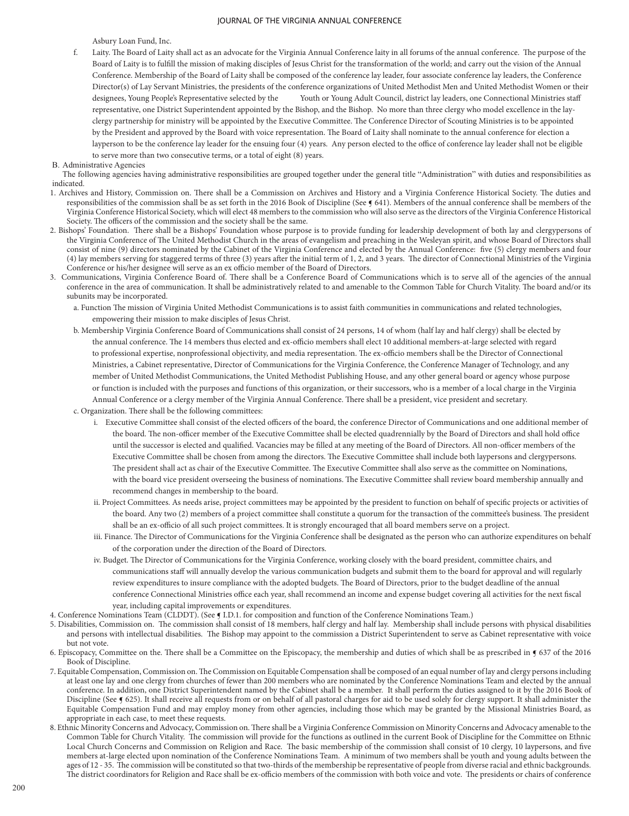Asbury Loan Fund, Inc.

- f. Laity. The Board of Laity shall act as an advocate for the Virginia Annual Conference laity in all forums of the annual conference. The purpose of the Board of Laity is to fulfill the mission of making disciples of Jesus Christ for the transformation of the world; and carry out the vision of the Annual Conference. Membership of the Board of Laity shall be composed of the conference lay leader, four associate conference lay leaders, the Conference Director(s) of Lay Servant Ministries, the presidents of the conference organizations of United Methodist Men and United Methodist Women or their designees, Young People's Representative selected by the Youth or Young Adult Council, district lay leaders, one Connectional Ministries staff representative, one District Superintendent appointed by the Bishop, and the Bishop. No more than three clergy who model excellence in the layclergy partnership for ministry will be appointed by the Executive Committee. The Conference Director of Scouting Ministries is to be appointed by the President and approved by the Board with voice representation. The Board of Laity shall nominate to the annual conference for election a layperson to be the conference lay leader for the ensuing four (4) years. Any person elected to the office of conference lay leader shall not be eligible to serve more than two consecutive terms, or a total of eight (8) years.
- B. Administrative Agencies

The following agencies having administrative responsibilities are grouped together under the general title "Administration" with duties and responsibilities as indicated.

- 1. Archives and History, Commission on. There shall be a Commission on Archives and History and a Virginia Conference Historical Society. The duties and responsibilities of the commission shall be as set forth in the 2016 Book of Discipline (See § 641). Members of the annual conference shall be members of the Virginia Conference Historical Society, which will elect 48 members to the commission who will also serve as the directors of the Virginia Conference Historical Society. The officers of the commission and the society shall be the same.
- 2. Bishops' Foundation. There shall be a Bishops' Foundation whose purpose is to provide funding for leadership development of both lay and clergypersons of the Virginia Conference of The United Methodist Church in the areas of evangelism and preaching in the Wesleyan spirit, and whose Board of Directors shall consist of nine (9) directors nominated by the Cabinet of the Virginia Conference and elected by the Annual Conference: five (5) clergy members and four (4) lay members serving for staggered terms of three (3) years after the initial term of 1, 2, and 3 years. The director of Connectional Ministries of the Virginia Conference or his/her designee will serve as an ex officio member of the Board of Directors.
- 3. Communications, Virginia Conference Board of. There shall be a Conference Board of Communications which is to serve all of the agencies of the annual conference in the area of communication. It shall be administratively related to and amenable to the Common Table for Church Vitality. The board and/or its subunits may be incorporated.
	- a. Function The mission of Virginia United Methodist Communications is to assist faith communities in communications and related technologies, empowering their mission to make disciples of Jesus Christ.
	- b. Membership Virginia Conference Board of Communications shall consist of 24 persons, 14 of whom (half lay and half clergy) shall be elected by the annual conference. The 14 members thus elected and ex-officio members shall elect 10 additional members-at-large selected with regard to professional expertise, nonprofessional objectivity, and media representation. The ex-officio members shall be the Director of Connectional Ministries, a Cabinet representative, Director of Communications for the Virginia Conference, the Conference Manager of Technology, and any member of United Methodist Communications, the United Methodist Publishing House, and any other general board or agency whose purpose or function is included with the purposes and functions of this organization, or their successors, who is a member of a local charge in the Virginia Annual Conference or a clergy member of the Virginia Annual Conference. There shall be a president, vice president and secretary.

c. Organization. There shall be the following committees:

- i. Executive Committee shall consist of the elected officers of the board, the conference Director of Communications and one additional member of the board. The non-officer member of the Executive Committee shall be elected quadrennially by the Board of Directors and shall hold office until the successor is elected and qualified. Vacancies may be filled at any meeting of the Board of Directors. All non-officer members of the Executive Committee shall be chosen from among the directors. The Executive Committee shall include both laypersons and clergypersons. The president shall act as chair of the Executive Committee. The Executive Committee shall also serve as the committee on Nominations, with the board vice president overseeing the business of nominations. The Executive Committee shall review board membership annually and recommend changes in membership to the board.
- ii. Project Committees. As needs arise, project committees may be appointed by the president to function on behalf of specific projects or activities of the board. Any two (2) members of a project committee shall constitute a quorum for the transaction of the committee's business. The president shall be an ex-officio of all such project committees. It is strongly encouraged that all board members serve on a project.
- iii. Finance. The Director of Communications for the Virginia Conference shall be designated as the person who can authorize expenditures on behalf of the corporation under the direction of the Board of Directors.
- iv. Budget. The Director of Communications for the Virginia Conference, working closely with the board president, committee chairs, and communications staff will annually develop the various communication budgets and submit them to the board for approval and will regularly review expenditures to insure compliance with the adopted budgets. The Board of Directors, prior to the budget deadline of the annual conference Connectional Ministries office each year, shall recommend an income and expense budget covering all activities for the next fiscal year, including capital improvements or expenditures.
- 4. Conference Nominations Team (CLDDT). (See [I.D.1. for composition and function of the Conference Nominations Team.)
- 5. Disabilities, Commission on. The commission shall consist of 18 members, half clergy and half lay. Membership shall include persons with physical disabilities and persons with intellectual disabilities. The Bishop may appoint to the commission a District Superintendent to serve as Cabinet representative with voice but not vote.
- 6. Episcopacy, Committee on the. There shall be a Committee on the Episcopacy, the membership and duties of which shall be as prescribed in  $\P$  637 of the 2016 Book of Discipline.
- 7. Equitable Compensation, Commission on. The Commission on Equitable Compensation shall be composed of an equal number of lay and clergy persons including at least one lay and one clergy from churches of fewer than 200 members who are nominated by the Conference Nominations Team and elected by the annual conference. In addition, one District Superintendent named by the Cabinet shall be a member. It shall perform the duties assigned to it by the 2016 Book of Discipline (See ¶ 625). It shall receive all requests from or on behalf of all pastoral charges for aid to be used solely for clergy support. It shall administer the Equitable Compensation Fund and may employ money from other agencies, including those which may be granted by the Missional Ministries Board, as appropriate in each case, to meet these requests.
- 8. Ethnic Minority Concerns and Advocacy, Commission on. There shall be a Virginia Conference Commission on Minority Concerns and Advocacy amenable to the Common Table for Church Vitality. The commission will provide for the functions as outlined in the current Book of Discipline for the Committee on Ethnic Local Church Concerns and Commission on Religion and Race. The basic membership of the commission shall consist of 10 clergy, 10 laypersons, and five members at-large elected upon nomination of the Conference Nominations Team. A minimum of two members shall be youth and young adults between the ages of 12 - 35. The commission will be constituted so that two-thirds of the membership be representative of people from diverse racial and ethnic backgrounds. The district coordinators for Religion and Race shall be ex-officio members of the commission with both voice and vote. The presidents or chairs of conference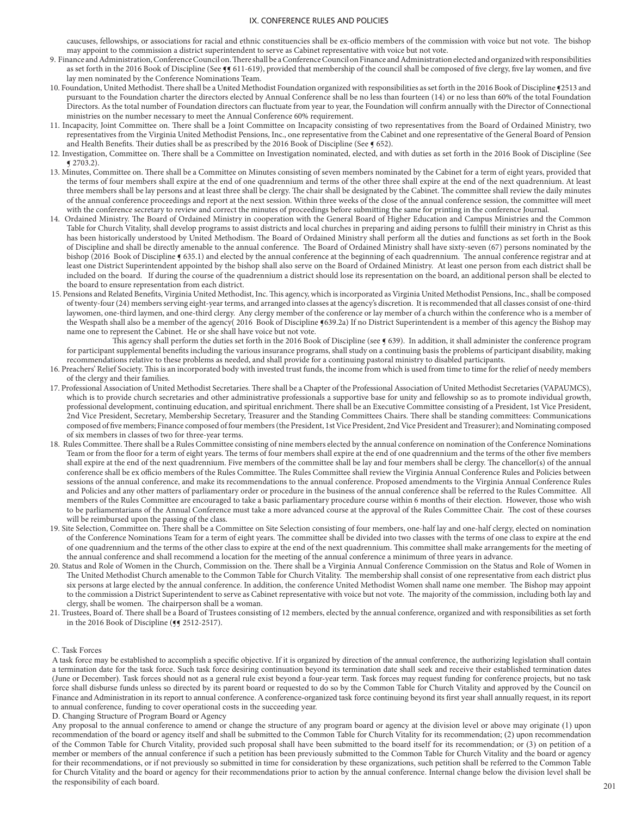caucuses, fellowships, or associations for racial and ethnic constituencies shall be ex-officio members of the commission with voice but not vote. The bishop may appoint to the commission a district superintendent to serve as Cabinet representative with voice but not vote.

- 9. Finance and Administration, Conference Council on. There shall be a Conference Council on Finance and Administration elected and organized with responsibilities as set forth in the 2016 Book of Discipline (See  $\frac{q}{5}$  611-619), provided that membership of the council shall be composed of five clergy, five lay women, and five lay men nominated by the Conference Nominations Team.
- 10. Foundation, United Methodist. There shall be a United Methodist Foundation organized with responsibilities as set forth in the 2016 Book of Discipline ¶2513 and pursuant to the Foundation charter the directors elected by Annual Conference shall be no less than fourteen (14) or no less than 60% of the total Foundation Directors. As the total number of Foundation directors can fluctuate from year to year, the Foundation will confirm annually with the Director of Connectional ministries on the number necessary to meet the Annual Conference 60% requirement.
- 11. Incapacity, Joint Committee on. There shall be a Joint Committee on Incapacity consisting of two representatives from the Board of Ordained Ministry, two representatives from the Virginia United Methodist Pensions, Inc., one representative from the Cabinet and one representative of the General Board of Pension and Health Benefits. Their duties shall be as prescribed by the 2016 Book of Discipline (See § 652).
- 12. Investigation, Committee on. There shall be a Committee on Investigation nominated, elected, and with duties as set forth in the 2016 Book of Discipline (See ¶ 2703.2).
- 13. Minutes, Committee on. There shall be a Committee on Minutes consisting of seven members nominated by the Cabinet for a term of eight years, provided that the terms of four members shall expire at the end of one quadrennium and terms of the other three shall expire at the end of the next quadrennium. At least three members shall be lay persons and at least three shall be clergy. The chair shall be designated by the Cabinet. The committee shall review the daily minutes of the annual conference proceedings and report at the next session. Within three weeks of the close of the annual conference session, the committee will meet with the conference secretary to review and correct the minutes of proceedings before submitting the same for printing in the conference Journal.
- 14. Ordained Ministry. The Board of Ordained Ministry in cooperation with the General Board of Higher Education and Campus Ministries and the Common Table for Church Vitality, shall develop programs to assist districts and local churches in preparing and aiding persons to fulfill their ministry in Christ as this has been historically understood by United Methodism. The Board of Ordained Ministry shall perform all the duties and functions as set forth in the Book of Discipline and shall be directly amenable to the annual conference. The Board of Ordained Ministry shall have sixty-seven (67) persons nominated by the bishop (2016 Book of Discipline § 635.1) and elected by the annual conference at the beginning of each quadrennium. The annual conference registrar and at least one District Superintendent appointed by the bishop shall also serve on the Board of Ordained Ministry. At least one person from each district shall be included on the board. If during the course of the quadrennium a district should lose its representation on the board, an additional person shall be elected to the board to ensure representation from each district.
- 15. Pensions and Related Benefits, Virginia United Methodist, Inc. This agency, which is incorporated as Virginia United Methodist Pensions, Inc., shall be composed of twenty-four (24) members serving eight-year terms, and arranged into classes at the agency's discretion. It is recommended that all classes consist of one-third laywomen, one-third laymen, and one-third clergy. Any clergy member of the conference or lay member of a church within the conference who is a member of the Wespath shall also be a member of the agency( 2016 Book of Discipline §639.2a) If no District Superintendent is a member of this agency the Bishop may name one to represent the Cabinet. He or she shall have voice but not vote.

This agency shall perform the duties set forth in the 2016 Book of Discipline (see § 639). In addition, it shall administer the conference program for participant supplemental benefits including the various insurance programs, shall study on a continuing basis the problems of participant disability, making recommendations relative to these problems as needed, and shall provide for a continuing pastoral ministry to disabled participants.

- 16. Preachers' Relief Society. This is an incorporated body with invested trust funds, the income from which is used from time to time for the relief of needy members of the clergy and their families.
- 17. Professional Association of United Methodist Secretaries. There shall be a Chapter of the Professional Association of United Methodist Secretaries (VAPAUMCS), which is to provide church secretaries and other administrative professionals a supportive base for unity and fellowship so as to promote individual growth, professional development, continuing education, and spiritual enrichment. There shall be an Executive Committee consisting of a President, 1st Vice President, 2nd Vice President, Secretary, Membership Secretary, Treasurer and the Standing Committees Chairs. There shall be standing committees: Communications composed of five members; Finance composed of four members (the President, 1st Vice President, 2nd Vice President and Treasurer); and Nominating composed of six members in classes of two for three-year terms.
- 18. Rules Committee. There shall be a Rules Committee consisting of nine members elected by the annual conference on nomination of the Conference Nominations Team or from the floor for a term of eight years. The terms of four members shall expire at the end of one quadrennium and the terms of the other five members shall expire at the end of the next quadrennium. Five members of the committee shall be lay and four members shall be clergy. The chancellor(s) of the annual conference shall be ex officio members of the Rules Committee. The Rules Committee shall review the Virginia Annual Conference Rules and Policies between sessions of the annual conference, and make its recommendations to the annual conference. Proposed amendments to the Virginia Annual Conference Rules and Policies and any other matters of parliamentary order or procedure in the business of the annual conference shall be referred to the Rules Committee. All members of the Rules Committee are encouraged to take a basic parliamentary procedure course within 6 months of their election. However, those who wish to be parliamentarians of the Annual Conference must take a more advanced course at the approval of the Rules Committee Chair. The cost of these courses will be reimbursed upon the passing of the class.
- 19. Site Selection, Committee on. There shall be a Committee on Site Selection consisting of four members, one-half lay and one-half clergy, elected on nomination of the Conference Nominations Team for a term of eight years. The committee shall be divided into two classes with the terms of one class to expire at the end of one quadrennium and the terms of the other class to expire at the end of the next quadrennium. This committee shall make arrangements for the meeting of the annual conference and shall recommend a location for the meeting of the annual conference a minimum of three years in advance.
- 20. Status and Role of Women in the Church, Commission on the. There shall be a Virginia Annual Conference Commission on the Status and Role of Women in The United Methodist Church amenable to the Common Table for Church Vitality. The membership shall consist of one representative from each district plus six persons at large elected by the annual conference. In addition, the conference United Methodist Women shall name one member. The Bishop may appoint to the commission a District Superintendent to serve as Cabinet representative with voice but not vote. The majority of the commission, including both lay and clergy, shall be women. The chairperson shall be a woman.
- 21. Trustees, Board of. There shall be a Board of Trustees consisting of 12 members, elected by the annual conference, organized and with responsibilities as set forth in the 2016 Book of Discipline ( $\sqrt{9}$  2512-2517).

#### C. Task Forces

A task force may be established to accomplish a specific objective. If it is organized by direction of the annual conference, the authorizing legislation shall contain a termination date for the task force. Such task force desiring continuation beyond its termination date shall seek and receive their established termination dates (June or December). Task forces should not as a general rule exist beyond a four-year term. Task forces may request funding for conference projects, but no task force shall disburse funds unless so directed by its parent board or requested to do so by the Common Table for Church Vitality and approved by the Council on Finance and Administration in its report to annual conference. A conference-organized task force continuing beyond its first year shall annually request, in its report to annual conference, funding to cover operational costs in the succeeding year.

D. Changing Structure of Program Board or Agency

Any proposal to the annual conference to amend or change the structure of any program board or agency at the division level or above may originate (1) upon recommendation of the board or agency itself and shall be submitted to the Common Table for Church Vitality for its recommendation; (2) upon recommendation of the Common Table for Church Vitality, provided such proposal shall have been submitted to the board itself for its recommendation; or (3) on petition of a member or members of the annual conference if such a petition has been previously submitted to the Common Table for Church Vitality and the board or agency for their recommendations, or if not previously so submitted in time for consideration by these organizations, such petition shall be referred to the Common Table for Church Vitality and the board or agency for their recommendations prior to action by the annual conference. Internal change below the division level shall be the responsibility of each board.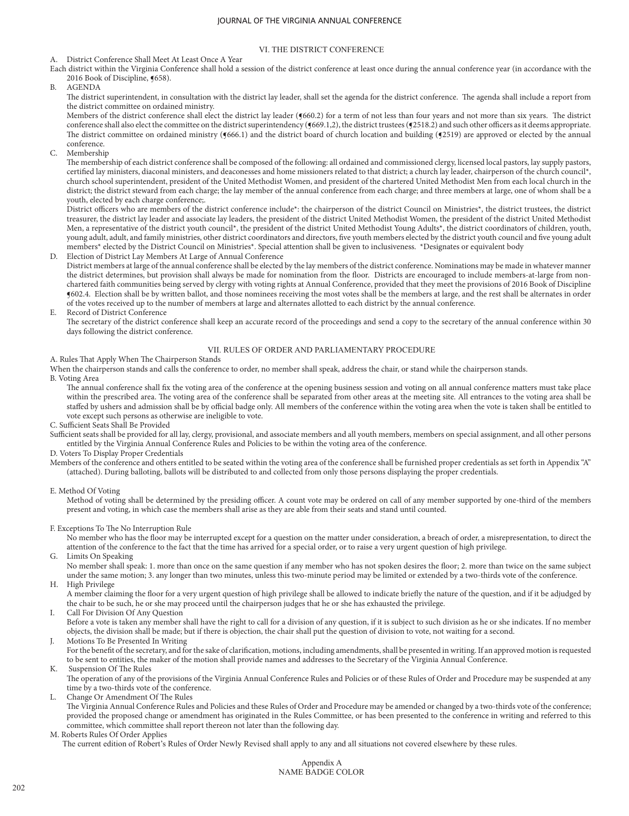## VI. THE DISTRICT CONFERENCE

A. District Conference Shall Meet At Least Once A Year

- Each district within the Virginia Conference shall hold a session of the district conference at least once during the annual conference year (in accordance with the 2016 Book of Discipline, §658).
- B. AGENDA

The district superintendent, in consultation with the district lay leader, shall set the agenda for the district conference. The agenda shall include a report from the district committee on ordained ministry.

Members of the district conference shall elect the district lay leader (¶660.2) for a term of not less than four years and not more than six years. The district conference shall also elect the committee on the district superintendency (¶669.1,2), the district trustees (¶2518.2) and such other officers as it deems appropriate. The district committee on ordained ministry ( $(666.1)$  and the district board of church location and building ( $(2519)$  are approved or elected by the annual conference.

C. Membership

The membership of each district conference shall be composed of the following: all ordained and commissioned clergy, licensed local pastors, lay supply pastors, certified lay ministers, diaconal ministers, and deaconesses and home missioners related to that district; a church lay leader, chairperson of the church council\*, church school superintendent, president of the United Methodist Women, and president of the chartered United Methodist Men from each local church in the district; the district steward from each charge; the lay member of the annual conference from each charge; and three members at large, one of whom shall be a youth, elected by each charge conference;.

District officers who are members of the district conference include\*: the chairperson of the district Council on Ministries\*, the district trustees, the district treasurer, the district lay leader and associate lay leaders, the president of the district United Methodist Women, the president of the district United Methodist Men, a representative of the district youth council\*, the president of the district United Methodist Young Adults\*, the district coordinators of children, youth, young adult, adult, and family ministries, other district coordinators and directors, five youth members elected by the district youth council and five young adult members\* elected by the District Council on Ministries\*. Special attention shall be given to inclusiveness. \*Designates or equivalent body

Election of District Lay Members At Large of Annual Conference District members at large of the annual conference shall be elected by the lay members of the district conference. Nominations may be made in whatever manner the district determines, but provision shall always be made for nomination from the floor. Districts are encouraged to include members-at-large from nonchartered faith communities being served by clergy with voting rights at Annual Conference, provided that they meet the provisions of 2016 Book of Discipline ¶602.4. Election shall be by written ballot, and those nominees receiving the most votes shall be the members at large, and the rest shall be alternates in order of the votes received up to the number of members at large and alternates allotted to each district by the annual conference.

E. Record of District Conference

The secretary of the district conference shall keep an accurate record of the proceedings and send a copy to the secretary of the annual conference within 30 days following the district conference.

# VII. RULES OF ORDER AND PARLIAMENTARY PROCEDURE

A. Rules That Apply When The Chairperson Stands

When the chairperson stands and calls the conference to order, no member shall speak, address the chair, or stand while the chairperson stands.

B. Voting Area

The annual conference shall fix the voting area of the conference at the opening business session and voting on all annual conference matters must take place within the prescribed area. The voting area of the conference shall be separated from other areas at the meeting site. All entrances to the voting area shall be staffed by ushers and admission shall be by official badge only. All members of the conference within the voting area when the vote is taken shall be entitled to vote except such persons as otherwise are ineligible to vote.

C. Sufficient Seats Shall Be Provided

Sufficient seats shall be provided for all lay, clergy, provisional, and associate members and all youth members, members on special assignment, and all other persons entitled by the Virginia Annual Conference Rules and Policies to be within the voting area of the conference.

D. Voters To Display Proper Credentials

Members of the conference and others entitled to be seated within the voting area of the conference shall be furnished proper credentials as set forth in Appendix "A" (attached). During balloting, ballots will be distributed to and collected from only those persons displaying the proper credentials.

E. Method Of Voting

Method of voting shall be determined by the presiding officer. A count vote may be ordered on call of any member supported by one-third of the members present and voting, in which case the members shall arise as they are able from their seats and stand until counted.

F. Exceptions To The No Interruption Rule

No member who has the floor may be interrupted except for a question on the matter under consideration, a breach of order, a misrepresentation, to direct the attention of the conference to the fact that the time has arrived for a special order, or to raise a very urgent question of high privilege.

G. Limits On Speaking

No member shall speak: 1. more than once on the same question if any member who has not spoken desires the floor; 2. more than twice on the same subject under the same motion; 3. any longer than two minutes, unless this two-minute period may be limited or extended by a two-thirds vote of the conference.

High Privilege

A member claiming the floor for a very urgent question of high privilege shall be allowed to indicate briefly the nature of the question, and if it be adjudged by the chair to be such, he or she may proceed until the chairperson judges that he or she has exhausted the privilege.

I. Call For Division Of Any Question

Before a vote is taken any member shall have the right to call for a division of any question, if it is subject to such division as he or she indicates. If no member objects, the division shall be made; but if there is objection, the chair shall put the question of division to vote, not waiting for a second.

Motions To Be Presented In Writing

For the benefit of the secretary, and for the sake of clarification, motions, including amendments, shall be presented in writing. If an approved motion is requested to be sent to entities, the maker of the motion shall provide names and addresses to the Secretary of the Virginia Annual Conference.

**Suspension Of The Rules** 

The operation of any of the provisions of the Virginia Annual Conference Rules and Policies or of these Rules of Order and Procedure may be suspended at any time by a two-thirds vote of the conference.

L. Change Or Amendment Of The Rules

The Virginia Annual Conference Rules and Policies and these Rules of Order and Procedure may be amended or changed by a two-thirds vote of the conference; provided the proposed change or amendment has originated in the Rules Committee, or has been presented to the conference in writing and referred to this committee, which committee shall report thereon not later than the following day.

#### M. Roberts Rules Of Order Applies

The current edition of Robert's Rules of Order Newly Revised shall apply to any and all situations not covered elsewhere by these rules.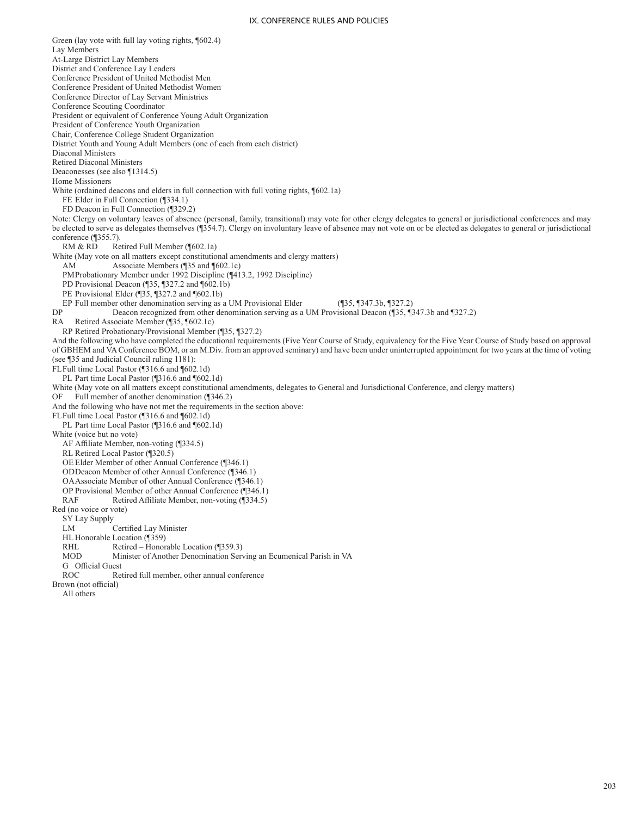Green (lay vote with full lay voting rights, ¶602.4) Lay Members At-Large District Lay Members District and Conference Lay Leaders Conference President of United Methodist Men Conference President of United Methodist Women Conference Director of Lay Servant Ministries Conference Scouting Coordinator President or equivalent of Conference Young Adult Organization President of Conference Youth Organization Chair, Conference College Student Organization District Youth and Young Adult Members (one of each from each district) Diaconal Ministers Retired Diaconal Ministers Deaconesses (see also ¶1314.5) Home Missioners White (ordained deacons and elders in full connection with full voting rights, ¶602.1a) FE Elder in Full Connection (¶334.1) FD Deacon in Full Connection (¶329.2) Note: Clergy on voluntary leaves of absence (personal, family, transitional) may vote for other clergy delegates to general or jurisdictional conferences and may be elected to serve as delegates themselves (¶354.7). Clergy on involuntary leave of absence may not vote on or be elected as delegates to general or jurisdictional conference (¶355.7). RM & RD Retired Full Member (¶602.1a) White (May vote on all matters except constitutional amendments and clergy matters) AM Associate Members (¶35 and ¶602.1c) PMProbationary Member under 1992 Discipline (¶413.2, 1992 Discipline) PD Provisional Deacon (¶35, ¶327.2 and ¶602.1b) PE Provisional Elder (¶35, ¶327.2 and ¶602.1b) EP Full member other denomination serving as a UM Provisional Elder (¶35, ¶347.3b, ¶327.2)<br>
DP Deacon recognized from other denomination serving as a UM Provisional Deacon (¶35, ¶327.2) Deacon recognized from other denomination serving as a UM Provisional Deacon (¶35, ¶347.3b and ¶327.2) RA Retired Associate Member (¶35, ¶602.1c) RP Retired Probationary/Provisional Member (¶35, ¶327.2) And the following who have completed the educational requirements (Five Year Course of Study, equivalency for the Five Year Course of Study based on approval of GBHEM and VA Conference BOM, or an M.Div. from an approved seminary) and have been under uninterrupted appointment for two years at the time of voting (see ¶35 and Judicial Council ruling 1181): FLFull time Local Pastor (¶316.6 and ¶602.1d) PL Part time Local Pastor (¶316.6 and ¶602.1d) White (May vote on all matters except constitutional amendments, delegates to General and Jurisdictional Conference, and clergy matters) OF Full member of another denomination (¶346.2) And the following who have not met the requirements in the section above: FLFull time Local Pastor (¶316.6 and ¶602.1d) PL Part time Local Pastor (¶316.6 and ¶602.1d) White (voice but no vote) AF Affiliate Member, non-voting (¶334.5) RL Retired Local Pastor (¶320.5) OE Elder Member of other Annual Conference (¶346.1) ODDeacon Member of other Annual Conference (¶346.1) OAAssociate Member of other Annual Conference (¶346.1) OP Provisional Member of other Annual Conference (¶346.1) RAF Retired Affiliate Member, non-voting (¶334.5) Red (no voice or vote) SY Lay Supply Certified Lay Minister HL Honorable Location (¶359) RHL Retired – Honorable Location (¶359.3) MOD Minister of Another Denomination Serving an Ecumenical Parish in VA G Official Guest<br>ROC Re Retired full member, other annual conference Brown (not official) All others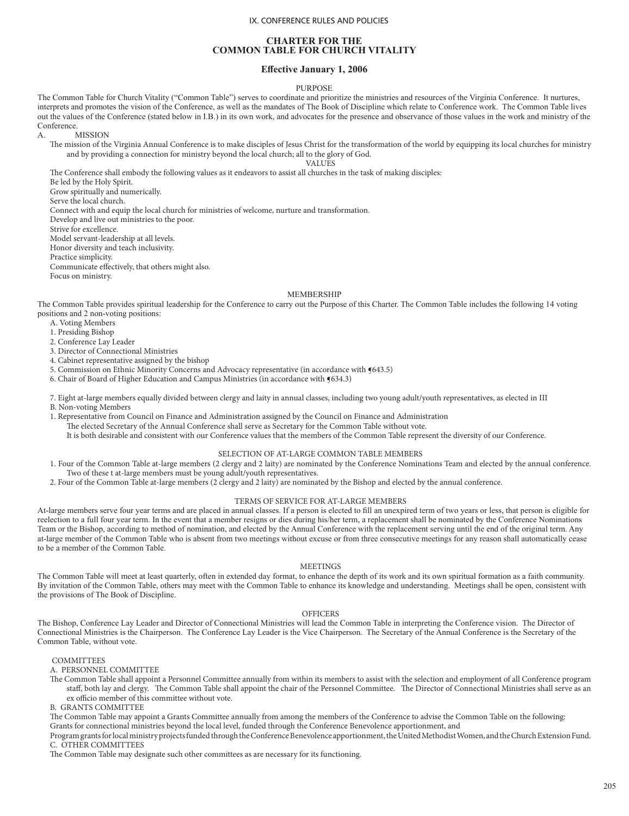## **CHARTER FOR THE COMMON TABLE FOR CHURCH VITALITY**

### **Effective January 1, 2006**

#### PURPOSE

The Common Table for Church Vitality ("Common Table") serves to coordinate and prioritize the ministries and resources of the Virginia Conference. It nurtures, interprets and promotes the vision of the Conference, as well as the mandates of The Book of Discipline which relate to Conference work. The Common Table lives out the values of the Conference (stated below in I.B.) in its own work, and advocates for the presence and observance of those values in the work and ministry of the Conference.

A. MISSION

The mission of the Virginia Annual Conference is to make disciples of Jesus Christ for the transformation of the world by equipping its local churches for ministry and by providing a connection for ministry beyond the local church; all to the glory of God.

VALUES

The Conference shall embody the following values as it endeavors to assist all churches in the task of making disciples:

Be led by the Holy Spirit.

Grow spiritually and numerically.

Serve the local church.

Connect with and equip the local church for ministries of welcome, nurture and transformation.

Develop and live out ministries to the poor.

Strive for excellence.

Model servant-leadership at all levels. Honor diversity and teach inclusivity.

Practice simplicity.

Communicate effectively, that others might also.

Focus on ministry.

#### MEMBERSHIP

The Common Table provides spiritual leadership for the Conference to carry out the Purpose of this Charter. The Common Table includes the following 14 voting positions and 2 non-voting positions:

A. Voting Members

1. Presiding Bishop

2. Conference Lay Leader

3. Director of Connectional Ministries

4. Cabinet representative assigned by the bishop

5. Commission on Ethnic Minority Concerns and Advocacy representative (in accordance with  $(643.5)$ )

6. Chair of Board of Higher Education and Campus Ministries (in accordance with ¶634.3)

7. Eight at-large members equally divided between clergy and laity in annual classes, including two young adult/youth representatives, as elected in III B. Non-voting Members

1. Representative from Council on Finance and Administration assigned by the Council on Finance and Administration The elected Secretary of the Annual Conference shall serve as Secretary for the Common Table without vote.

It is both desirable and consistent with our Conference values that the members of the Common Table represent the diversity of our Conference.

### SELECTION OF AT-LARGE COMMON TABLE MEMBERS

- 1. Four of the Common Table at-large members (2 clergy and 2 laity) are nominated by the Conference Nominations Team and elected by the annual conference. Two of these t at-large members must be young adult/youth representatives.
- 2. Four of the Common Table at-large members (2 clergy and 2 laity) are nominated by the Bishop and elected by the annual conference.

## TERMS OF SERVICE FOR AT-LARGE MEMBERS

At-large members serve four year terms and are placed in annual classes. If a person is elected to fill an unexpired term of two years or less, that person is eligible for reelection to a full four year term. In the event that a member resigns or dies during his/her term, a replacement shall be nominated by the Conference Nominations Team or the Bishop, according to method of nomination, and elected by the Annual Conference with the replacement serving until the end of the original term. Any at-large member of the Common Table who is absent from two meetings without excuse or from three consecutive meetings for any reason shall automatically cease to be a member of the Common Table.

#### MEETINGS

The Common Table will meet at least quarterly, often in extended day format, to enhance the depth of its work and its own spiritual formation as a faith community. By invitation of the Common Table, others may meet with the Common Table to enhance its knowledge and understanding. Meetings shall be open, consistent with the provisions of The Book of Discipline.

#### OFFICERS

The Bishop, Conference Lay Leader and Director of Connectional Ministries will lead the Common Table in interpreting the Conference vision. The Director of Connectional Ministries is the Chairperson. The Conference Lay Leader is the Vice Chairperson. The Secretary of the Annual Conference is the Secretary of the Common Table, without vote.

COMMITTEES

A. PERSONNEL COMMITTEE

The Common Table shall appoint a Personnel Committee annually from within its members to assist with the selection and employment of all Conference program staff, both lay and clergy. The Common Table shall appoint the chair of the Personnel Committee. The Director of Connectional Ministries shall serve as an ex officio member of this committee without vote.

B. GRANTS COMMITTEE

The Common Table may appoint a Grants Committee annually from among the members of the Conference to advise the Common Table on the following: Grants for connectional ministries beyond the local level, funded through the Conference Benevolence apportionment, and

Program grants for local ministry projects funded through the Conference Benevolence apportionment, the United Methodist Women, and the Church Extension Fund. C. OTHER COMMITTEES

The Common Table may designate such other committees as are necessary for its functioning.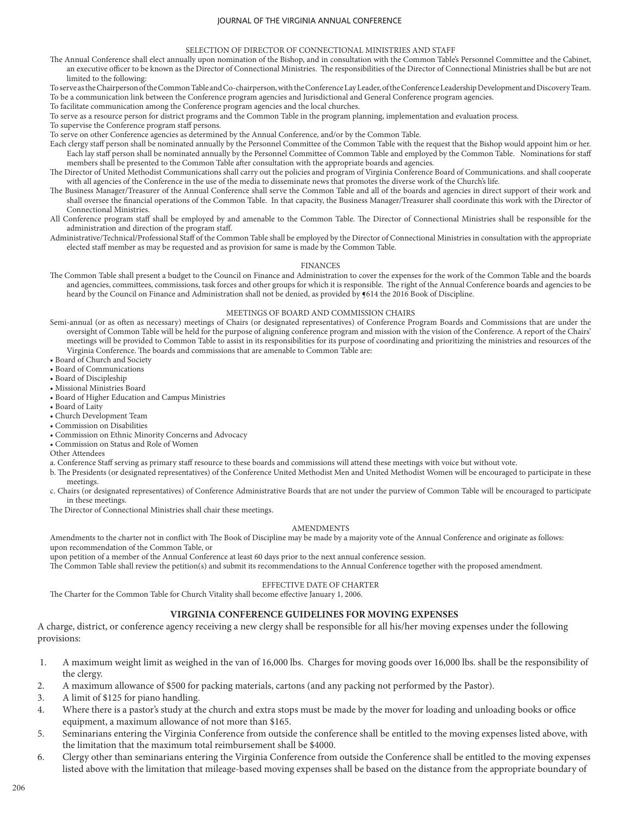#### SELECTION OF DIRECTOR OF CONNECTIONAL MINISTRIES AND STAFF

- The Annual Conference shall elect annually upon nomination of the Bishop, and in consultation with the Common Table's Personnel Committee and the Cabinet, an executive officer to be known as the Director of Connectional Ministries. The responsibilities of the Director of Connectional Ministries shall be but are not limited to the following:
- To serve as the Chairperson of the Common Table and Co-chairperson, with the Conference Lay Leader, of the Conference Leadership Development and Discovery Team. To be a communication link between the Conference program agencies and Jurisdictional and General Conference program agencies.
- To facilitate communication among the Conference program agencies and the local churches.
- To serve as a resource person for district programs and the Common Table in the program planning, implementation and evaluation process.
- To supervise the Conference program staff persons.
- To serve on other Conference agencies as determined by the Annual Conference, and/or by the Common Table.
- Each clergy staff person shall be nominated annually by the Personnel Committee of the Common Table with the request that the Bishop would appoint him or her. Each lay staff person shall be nominated annually by the Personnel Committee of Common Table and employed by the Common Table. Nominations for staff members shall be presented to the Common Table after consultation with the appropriate boards and agencies.
- The Director of United Methodist Communications shall carry out the policies and program of Virginia Conference Board of Communications. and shall cooperate with all agencies of the Conference in the use of the media to disseminate news that promotes the diverse work of the Church's life.
- The Business Manager/Treasurer of the Annual Conference shall serve the Common Table and all of the boards and agencies in direct support of their work and shall oversee the financial operations of the Common Table. In that capacity, the Business Manager/Treasurer shall coordinate this work with the Director of Connectional Ministries.
- All Conference program staff shall be employed by and amenable to the Common Table. The Director of Connectional Ministries shall be responsible for the administration and direction of the program staff.
- Administrative/Technical/Professional Staff of the Common Table shall be employed by the Director of Connectional Ministries in consultation with the appropriate elected staff member as may be requested and as provision for same is made by the Common Table.

#### FINANCES

The Common Table shall present a budget to the Council on Finance and Administration to cover the expenses for the work of the Common Table and the boards and agencies, committees, commissions, task forces and other groups for which it is responsible. The right of the Annual Conference boards and agencies to be heard by the Council on Finance and Administration shall not be denied, as provided by  $614$  the 2016 Book of Discipline.

## MEETINGS OF BOARD AND COMMISSION CHAIRS

- Semi-annual (or as often as necessary) meetings of Chairs (or designated representatives) of Conference Program Boards and Commissions that are under the oversight of Common Table will be held for the purpose of aligning conference program and mission with the vision of the Conference. A report of the Chairs' meetings will be provided to Common Table to assist in its responsibilities for its purpose of coordinating and prioritizing the ministries and resources of the Virginia Conference. The boards and commissions that are amenable to Common Table are:
- Board of Church and Society
- Board of Communications
- Board of Discipleship
- Missional Ministries Board
- Board of Higher Education and Campus Ministries
- Board of Laity
- Church Development Team
- Commission on Disabilities
- Commission on Ethnic Minority Concerns and Advocacy
- Commission on Status and Role of Women
- Other Attendees
- a. Conference Staff serving as primary staff resource to these boards and commissions will attend these meetings with voice but without vote.
- b. The Presidents (or designated representatives) of the Conference United Methodist Men and United Methodist Women will be encouraged to participate in these meetings.
- c. Chairs (or designated representatives) of Conference Administrative Boards that are not under the purview of Common Table will be encouraged to participate in these meetings.
- The Director of Connectional Ministries shall chair these meetings.

#### AMENDMENTS

Amendments to the charter not in conflict with The Book of Discipline may be made by a majority vote of the Annual Conference and originate as follows: upon recommendation of the Common Table, or

upon petition of a member of the Annual Conference at least 60 days prior to the next annual conference session.

The Common Table shall review the petition(s) and submit its recommendations to the Annual Conference together with the proposed amendment.

### EFFECTIVE DATE OF CHARTER

The Charter for the Common Table for Church Vitality shall become effective January 1, 2006.

# **VIRGINIA CONFERENCE GUIDELINES FOR MOVING EXPENSES**

A charge, district, or conference agency receiving a new clergy shall be responsible for all his/her moving expenses under the following provisions:

- 1. A maximum weight limit as weighed in the van of 16,000 lbs. Charges for moving goods over 16,000 lbs. shall be the responsibility of the clergy.
- 2. A maximum allowance of \$500 for packing materials, cartons (and any packing not performed by the Pastor).
- 3. A limit of \$125 for piano handling.
- 4. Where there is a pastor's study at the church and extra stops must be made by the mover for loading and unloading books or office equipment, a maximum allowance of not more than \$165.
- 5. Seminarians entering the Virginia Conference from outside the conference shall be entitled to the moving expenses listed above, with the limitation that the maximum total reimbursement shall be \$4000.
- 6. Clergy other than seminarians entering the Virginia Conference from outside the Conference shall be entitled to the moving expenses listed above with the limitation that mileage-based moving expenses shall be based on the distance from the appropriate boundary of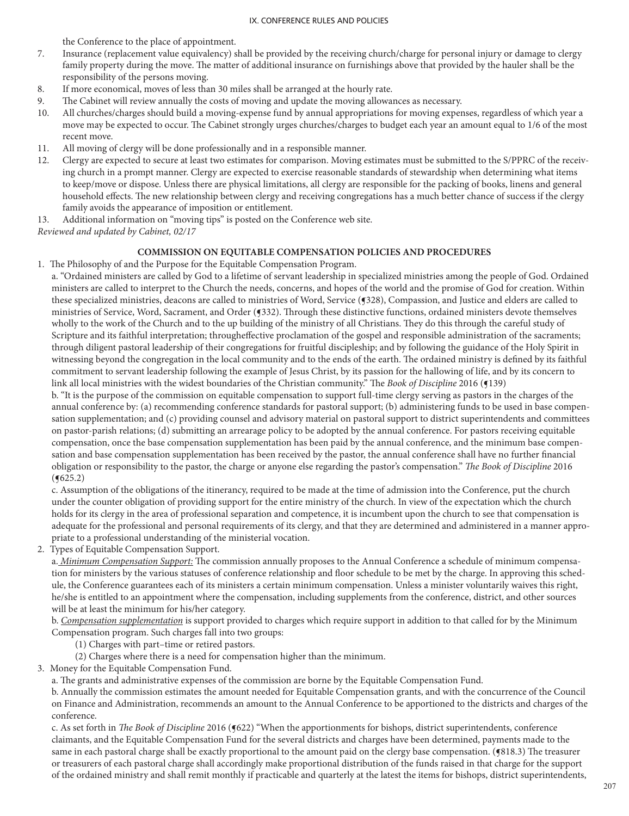the Conference to the place of appointment.

- 7. Insurance (replacement value equivalency) shall be provided by the receiving church/charge for personal injury or damage to clergy family property during the move. The matter of additional insurance on furnishings above that provided by the hauler shall be the responsibility of the persons moving.
- 8. If more economical, moves of less than 30 miles shall be arranged at the hourly rate.
- 9. The Cabinet will review annually the costs of moving and update the moving allowances as necessary.
- 10. All churches/charges should build a moving-expense fund by annual appropriations for moving expenses, regardless of which year a move may be expected to occur. The Cabinet strongly urges churches/charges to budget each year an amount equal to 1/6 of the most recent move.
- 11. All moving of clergy will be done professionally and in a responsible manner.
- 12. Clergy are expected to secure at least two estimates for comparison. Moving estimates must be submitted to the S/PPRC of the receiving church in a prompt manner. Clergy are expected to exercise reasonable standards of stewardship when determining what items to keep/move or dispose. Unless there are physical limitations, all clergy are responsible for the packing of books, linens and general household effects. The new relationship between clergy and receiving congregations has a much better chance of success if the clergy family avoids the appearance of imposition or entitlement.
- 13. Additional information on "moving tips" is posted on the Conference web site.

*Reviewed and updated by Cabinet, 02/17*

# **COMMISSION ON EQUITABLE COMPENSATION POLICIES AND PROCEDURES**

1. The Philosophy of and the Purpose for the Equitable Compensation Program.

a. "Ordained ministers are called by God to a lifetime of servant leadership in specialized ministries among the people of God. Ordained ministers are called to interpret to the Church the needs, concerns, and hopes of the world and the promise of God for creation. Within these specialized ministries, deacons are called to ministries of Word, Service (¶328), Compassion, and Justice and elders are called to ministries of Service, Word, Sacrament, and Order (§332). Through these distinctive functions, ordained ministers devote themselves wholly to the work of the Church and to the up building of the ministry of all Christians. They do this through the careful study of Scripture and its faithful interpretation; througheffective proclamation of the gospel and responsible administration of the sacraments; through diligent pastoral leadership of their congregations for fruitful discipleship; and by following the guidance of the Holy Spirit in witnessing beyond the congregation in the local community and to the ends of the earth. The ordained ministry is defined by its faithful commitment to servant leadership following the example of Jesus Christ, by its passion for the hallowing of life, and by its concern to link all local ministries with the widest boundaries of the Christian community." The *Book of Discipline* 2016 (¶139)

b. "It is the purpose of the commission on equitable compensation to support full-time clergy serving as pastors in the charges of the annual conference by: (a) recommending conference standards for pastoral support; (b) administering funds to be used in base compensation supplementation; and (c) providing counsel and advisory material on pastoral support to district superintendents and committees on pastor-parish relations; (d) submitting an arrearage policy to be adopted by the annual conference. For pastors receiving equitable compensation, once the base compensation supplementation has been paid by the annual conference, and the minimum base compensation and base compensation supplementation has been received by the pastor, the annual conference shall have no further financial obligation or responsibility to the pastor, the charge or anyone else regarding the pastor's compensation." *The Book of Discipline* 2016  $($ **(** $625.2)$ )

c. Assumption of the obligations of the itinerancy, required to be made at the time of admission into the Conference, put the church under the counter obligation of providing support for the entire ministry of the church. In view of the expectation which the church holds for its clergy in the area of professional separation and competence, it is incumbent upon the church to see that compensation is adequate for the professional and personal requirements of its clergy, and that they are determined and administered in a manner appropriate to a professional understanding of the ministerial vocation.

2. Types of Equitable Compensation Support.

a. *Minimum Compensation Support:* The commission annually proposes to the Annual Conference a schedule of minimum compensation for ministers by the various statuses of conference relationship and floor schedule to be met by the charge. In approving this schedule, the Conference guarantees each of its ministers a certain minimum compensation. Unless a minister voluntarily waives this right, he/she is entitled to an appointment where the compensation, including supplements from the conference, district, and other sources will be at least the minimum for his/her category.

b. *Compensation supplementation* is support provided to charges which require support in addition to that called for by the Minimum Compensation program. Such charges fall into two groups:

(1) Charges with part–time or retired pastors.

(2) Charges where there is a need for compensation higher than the minimum.

3. Money for the Equitable Compensation Fund.

a. The grants and administrative expenses of the commission are borne by the Equitable Compensation Fund.

b. Annually the commission estimates the amount needed for Equitable Compensation grants, and with the concurrence of the Council on Finance and Administration, recommends an amount to the Annual Conference to be apportioned to the districts and charges of the conference.

c. As set forth in *The Book of Discipline* 2016 (§622) "When the apportionments for bishops, district superintendents, conference claimants, and the Equitable Compensation Fund for the several districts and charges have been determined, payments made to the same in each pastoral charge shall be exactly proportional to the amount paid on the clergy base compensation. ( $$818.3$ ) The treasurer or treasurers of each pastoral charge shall accordingly make proportional distribution of the funds raised in that charge for the support of the ordained ministry and shall remit monthly if practicable and quarterly at the latest the items for bishops, district superintendents,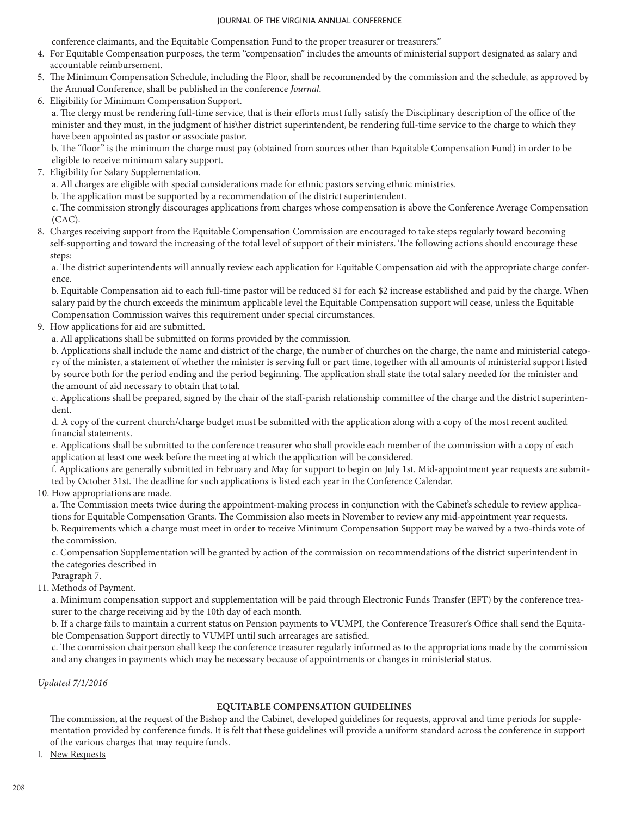conference claimants, and the Equitable Compensation Fund to the proper treasurer or treasurers."

- 4. For Equitable Compensation purposes, the term "compensation" includes the amounts of ministerial support designated as salary and accountable reimbursement.
- 5. The Minimum Compensation Schedule, including the Floor, shall be recommended by the commission and the schedule, as approved by the Annual Conference, shall be published in the conference *Journal*.
- 6. Eligibility for Minimum Compensation Support.

a. The clergy must be rendering full-time service, that is their efforts must fully satisfy the Disciplinary description of the office of the minister and they must, in the judgment of his\her district superintendent, be rendering full-time service to the charge to which they have been appointed as pastor or associate pastor.

b. The "floor" is the minimum the charge must pay (obtained from sources other than Equitable Compensation Fund) in order to be eligible to receive minimum salary support.

7. Eligibility for Salary Supplementation.

a. All charges are eligible with special considerations made for ethnic pastors serving ethnic ministries.

b. The application must be supported by a recommendation of the district superintendent.

c. The commission strongly discourages applications from charges whose compensation is above the Conference Average Compensation (CAC).

8. Charges receiving support from the Equitable Compensation Commission are encouraged to take steps regularly toward becoming self-supporting and toward the increasing of the total level of support of their ministers. The following actions should encourage these steps:

a. The district superintendents will annually review each application for Equitable Compensation aid with the appropriate charge conference.

b. Equitable Compensation aid to each full-time pastor will be reduced \$1 for each \$2 increase established and paid by the charge. When salary paid by the church exceeds the minimum applicable level the Equitable Compensation support will cease, unless the Equitable Compensation Commission waives this requirement under special circumstances.

9. How applications for aid are submitted.

a. All applications shall be submitted on forms provided by the commission.

b. Applications shall include the name and district of the charge, the number of churches on the charge, the name and ministerial category of the minister, a statement of whether the minister is serving full or part time, together with all amounts of ministerial support listed by source both for the period ending and the period beginning. The application shall state the total salary needed for the minister and the amount of aid necessary to obtain that total.

c. Applications shall be prepared, signed by the chair of the staff-parish relationship committee of the charge and the district superintendent.

d. A copy of the current church/charge budget must be submitted with the application along with a copy of the most recent audited financial statements.

e. Applications shall be submitted to the conference treasurer who shall provide each member of the commission with a copy of each application at least one week before the meeting at which the application will be considered.

f. Applications are generally submitted in February and May for support to begin on July 1st. Mid-appointment year requests are submitted by October 31st. The deadline for such applications is listed each year in the Conference Calendar.

10. How appropriations are made.

a. The Commission meets twice during the appointment-making process in conjunction with the Cabinet's schedule to review applications for Equitable Compensation Grants. The Commission also meets in November to review any mid-appointment year requests. b. Requirements which a charge must meet in order to receive Minimum Compensation Support may be waived by a two-thirds vote of the commission.

c. Compensation Supplementation will be granted by action of the commission on recommendations of the district superintendent in the categories described in

Paragraph 7.

11. Methods of Payment.

a. Minimum compensation support and supplementation will be paid through Electronic Funds Transfer (EFT) by the conference treasurer to the charge receiving aid by the 10th day of each month.

b. If a charge fails to maintain a current status on Pension payments to VUMPI, the Conference Treasurer's Office shall send the Equitable Compensation Support directly to VUMPI until such arrearages are satisfied.

c. The commission chairperson shall keep the conference treasurer regularly informed as to the appropriations made by the commission and any changes in payments which may be necessary because of appointments or changes in ministerial status.

*Updated 7/1/2016*

# **EQUITABLE COMPENSATION GUIDELINES**

The commission, at the request of the Bishop and the Cabinet, developed guidelines for requests, approval and time periods for supplementation provided by conference funds. It is felt that these guidelines will provide a uniform standard across the conference in support of the various charges that may require funds.

I. New Requests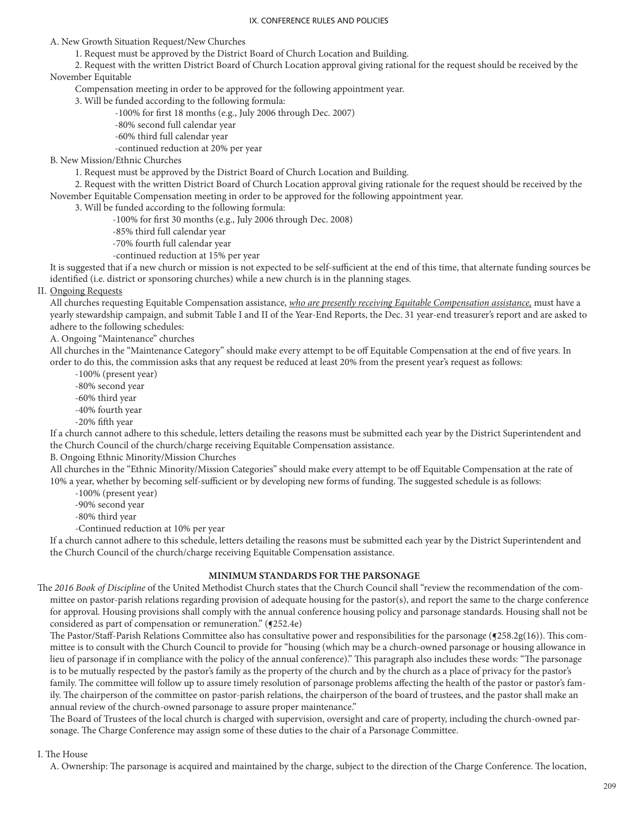A. New Growth Situation Request/New Churches

1. Request must be approved by the District Board of Church Location and Building.

 2. Request with the written District Board of Church Location approval giving rational for the request should be received by the November Equitable

Compensation meeting in order to be approved for the following appointment year.

3. Will be funded according to the following formula:

- -100% for first 18 months (e.g., July 2006 through Dec. 2007)
- -80% second full calendar year
- -60% third full calendar year
- -continued reduction at 20% per year

B. New Mission/Ethnic Churches

1. Request must be approved by the District Board of Church Location and Building.

 2. Request with the written District Board of Church Location approval giving rationale for the request should be received by the November Equitable Compensation meeting in order to be approved for the following appointment year.

3. Will be funded according to the following formula:

- -100% for first 30 months (e.g., July 2006 through Dec. 2008)
- -85% third full calendar year
- -70% fourth full calendar year
- -continued reduction at 15% per year

It is suggested that if a new church or mission is not expected to be self-sufficient at the end of this time, that alternate funding sources be identified (i.e. district or sponsoring churches) while a new church is in the planning stages.

II. Ongoing Requests

All churches requesting Equitable Compensation assistance, *who are presently receiving Equitable Compensation assistance,* must have a yearly stewardship campaign, and submit Table I and II of the Year-End Reports, the Dec. 31 year-end treasurer's report and are asked to adhere to the following schedules:

A. Ongoing "Maintenance" churches

All churches in the "Maintenance Category" should make every attempt to be off Equitable Compensation at the end of five years. In order to do this, the commission asks that any request be reduced at least 20% from the present year's request as follows:

-100% (present year)

- -80% second year
- -60% third year
- -40% fourth year -20% fifth year

If a church cannot adhere to this schedule, letters detailing the reasons must be submitted each year by the District Superintendent and the Church Council of the church/charge receiving Equitable Compensation assistance.

B. Ongoing Ethnic Minority/Mission Churches

All churches in the "Ethnic Minority/Mission Categories" should make every attempt to be off Equitable Compensation at the rate of 10% a year, whether by becoming self-sufficient or by developing new forms of funding. The suggested schedule is as follows:

-100% (present year)

-90% second year

-80% third year

-Continued reduction at 10% per year

If a church cannot adhere to this schedule, letters detailing the reasons must be submitted each year by the District Superintendent and the Church Council of the church/charge receiving Equitable Compensation assistance.

# **MINIMUM STANDARDS FOR THE PARSONAGE**

The *2016 Book of Discipline* of the United Methodist Church states that the Church Council shall "review the recommendation of the committee on pastor-parish relations regarding provision of adequate housing for the pastor(s), and report the same to the charge conference for approval. Housing provisions shall comply with the annual conference housing policy and parsonage standards. Housing shall not be considered as part of compensation or remuneration." ( $(252.4e)$ )

The Pastor/Staff-Parish Relations Committee also has consultative power and responsibilities for the parsonage (¶258.2g(16)). This committee is to consult with the Church Council to provide for "housing (which may be a church-owned parsonage or housing allowance in lieu of parsonage if in compliance with the policy of the annual conference)." This paragraph also includes these words: "The parsonage is to be mutually respected by the pastor's family as the property of the church and by the church as a place of privacy for the pastor's family. The committee will follow up to assure timely resolution of parsonage problems affecting the health of the pastor or pastor's family. The chairperson of the committee on pastor-parish relations, the chairperson of the board of trustees, and the pastor shall make an annual review of the church-owned parsonage to assure proper maintenance."

The Board of Trustees of the local church is charged with supervision, oversight and care of property, including the church-owned parsonage. The Charge Conference may assign some of these duties to the chair of a Parsonage Committee.

## I. The House

A. Ownership: The parsonage is acquired and maintained by the charge, subject to the direction of the Charge Conference. The location,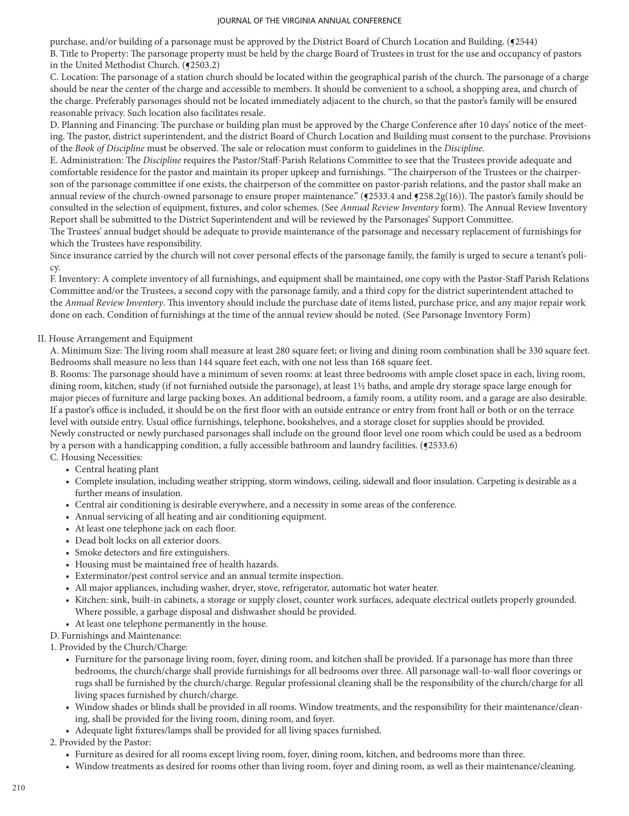purchase, and/or building of a parsonage must be approved by the District Board of Church Location and Building. (¶2544) B. Title to Property: The parsonage property must be held by the charge Board of Trustees in trust for the use and occupancy of pastors in the United Methodist Church. (¶2503.2)

C. Location: The parsonage of a station church should be located within the geographical parish of the church. The parsonage of a charge should be near the center of the charge and accessible to members. It should be convenient to a school, a shopping area, and church of the charge. Preferably parsonages should not be located immediately adjacent to the church, so that the pastor's family will be ensured reasonable privacy. Such location also facilitates resale.

D. Planning and Financing: The purchase or building plan must be approved by the Charge Conference after 10 days' notice of the meeting. The pastor, district superintendent, and the district Board of Church Location and Building must consent to the purchase. Provisions of the *Book of Discipline* must be observed. The sale or relocation must conform to guidelines in the *Discipline*.

E. Administration: The *Discipline* requires the Pastor/Staff-Parish Relations Committee to see that the Trustees provide adequate and comfortable residence for the pastor and maintain its proper upkeep and furnishings. "The chairperson of the Trustees or the chairperson of the parsonage committee if one exists, the chairperson of the committee on pastor-parish relations, and the pastor shall make an annual review of the church-owned parsonage to ensure proper maintenance."  $(92533.4$  and  $9258.2g(16)$ ). The pastor's family should be consulted in the selection of equipment, fixtures, and color schemes. (See *Annual Review Inventory* form). The Annual Review Inventory Report shall be submitted to the District Superintendent and will be reviewed by the Parsonages' Support Committee.

The Trustees' annual budget should be adequate to provide maintenance of the parsonage and necessary replacement of furnishings for which the Trustees have responsibility.

Since insurance carried by the church will not cover personal effects of the parsonage family, the family is urged to secure a tenant's policy.

F. Inventory: A complete inventory of all furnishings, and equipment shall be maintained, one copy with the Pastor-Staff Parish Relations Committee and/or the Trustees, a second copy with the parsonage family, and a third copy for the district superintendent attached to the *Annual Review Inventory*. This inventory should include the purchase date of items listed, purchase price, and any major repair work done on each. Condition of furnishings at the time of the annual review should be noted. (See Parsonage Inventory Form)

# II. House Arrangement and Equipment

A. Minimum Size: The living room shall measure at least 280 square feet; or living and dining room combination shall be 330 square feet. Bedrooms shall measure no less than 144 square feet each, with one not less than 168 square feet.

B. Rooms: The parsonage should have a minimum of seven rooms: at least three bedrooms with ample closet space in each, living room, dining room, kitchen, study (if not furnished outside the parsonage), at least 1½ baths, and ample dry storage space large enough for major pieces of furniture and large packing boxes. An additional bedroom, a family room, a utility room, and a garage are also desirable. If a pastor's office is included, it should be on the first floor with an outside entrance or entry from front hall or both or on the terrace level with outside entry. Usual office furnishings, telephone, bookshelves, and a storage closet for supplies should be provided. Newly constructed or newly purchased parsonages shall include on the ground floor level one room which could be used as a bedroom by a person with a handicapping condition, a fully accessible bathroom and laundry facilities.  $(92533.6)$ 

C. Housing Necessities:

- Central heating plant
- Complete insulation, including weather stripping, storm windows, ceiling, sidewall and floor insulation. Carpeting is desirable as a further means of insulation.
- Central air conditioning is desirable everywhere, and a necessity in some areas of the conference.
- Annual servicing of all heating and air conditioning equipment.
- At least one telephone jack on each floor.
- Dead bolt locks on all exterior doors.
- Smoke detectors and fire extinguishers.
- Housing must be maintained free of health hazards.
- Exterminator/pest control service and an annual termite inspection.
- All major appliances, including washer, dryer, stove, refrigerator, automatic hot water heater.
- Kitchen: sink, built-in cabinets, a storage or supply closet, counter work surfaces, adequate electrical outlets properly grounded. Where possible, a garbage disposal and dishwasher should be provided.
- At least one telephone permanently in the house.
- D. Furnishings and Maintenance:

1. Provided by the Church/Charge:

- Furniture for the parsonage living room, foyer, dining room, and kitchen shall be provided. If a parsonage has more than three bedrooms, the church/charge shall provide furnishings for all bedrooms over three. All parsonage wall-to-wall floor coverings or rugs shall be furnished by the church/charge. Regular professional cleaning shall be the responsibility of the church/charge for all living spaces furnished by church/charge.
- Window shades or blinds shall be provided in all rooms. Window treatments, and the responsibility for their maintenance/cleaning, shall be provided for the living room, dining room, and foyer.
- Adequate light fixtures/lamps shall be provided for all living spaces furnished.

# 2. Provided by the Pastor:

- Furniture as desired for all rooms except living room, foyer, dining room, kitchen, and bedrooms more than three.
- Window treatments as desired for rooms other than living room, foyer and dining room, as well as their maintenance/cleaning.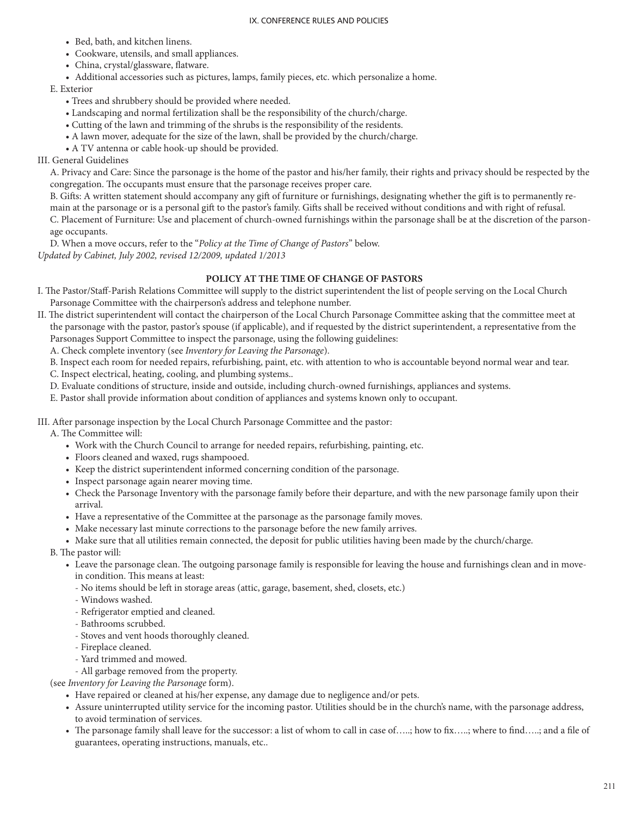- Bed, bath, and kitchen linens.
- Cookware, utensils, and small appliances.
- China, crystal/glassware, flatware.
- Additional accessories such as pictures, lamps, family pieces, etc. which personalize a home.

E. Exterior

- Trees and shrubbery should be provided where needed.
- Landscaping and normal fertilization shall be the responsibility of the church/charge.
- Cutting of the lawn and trimming of the shrubs is the responsibility of the residents.
- A lawn mover, adequate for the size of the lawn, shall be provided by the church/charge.
- A TV antenna or cable hook-up should be provided.

# III. General Guidelines

A. Privacy and Care: Since the parsonage is the home of the pastor and his/her family, their rights and privacy should be respected by the congregation. The occupants must ensure that the parsonage receives proper care.

B. Gifts: A written statement should accompany any gift of furniture or furnishings, designating whether the gift is to permanently remain at the parsonage or is a personal gift to the pastor's family. Gifts shall be received without conditions and with right of refusal. C. Placement of Furniture: Use and placement of church-owned furnishings within the parsonage shall be at the discretion of the parsonage occupants.

D. When a move occurs, refer to the "*Policy at the Time of Change of Pastors*" below. *Updated by Cabinet, July 2002, revised 12/2009, updated 1/2013*

# **POLICY AT THE TIME OF CHANGE OF PASTORS**

I. The Pastor/Staff-Parish Relations Committee will supply to the district superintendent the list of people serving on the Local Church Parsonage Committee with the chairperson's address and telephone number.

II. The district superintendent will contact the chairperson of the Local Church Parsonage Committee asking that the committee meet at the parsonage with the pastor, pastor's spouse (if applicable), and if requested by the district superintendent, a representative from the Parsonages Support Committee to inspect the parsonage, using the following guidelines:

A. Check complete inventory (see *Inventory for Leaving the Parsonage*).

- B. Inspect each room for needed repairs, refurbishing, paint, etc. with attention to who is accountable beyond normal wear and tear.
- C. Inspect electrical, heating, cooling, and plumbing systems..
- D. Evaluate conditions of structure, inside and outside, including church-owned furnishings, appliances and systems.
- E. Pastor shall provide information about condition of appliances and systems known only to occupant.

III. After parsonage inspection by the Local Church Parsonage Committee and the pastor:

A. The Committee will:

- Work with the Church Council to arrange for needed repairs, refurbishing, painting, etc.
- Floors cleaned and waxed, rugs shampooed.
- Keep the district superintendent informed concerning condition of the parsonage.
- Inspect parsonage again nearer moving time.
- Check the Parsonage Inventory with the parsonage family before their departure, and with the new parsonage family upon their arrival.
- Have a representative of the Committee at the parsonage as the parsonage family moves.
- Make necessary last minute corrections to the parsonage before the new family arrives.
- Make sure that all utilities remain connected, the deposit for public utilities having been made by the church/charge.

B. The pastor will:

- Leave the parsonage clean. The outgoing parsonage family is responsible for leaving the house and furnishings clean and in movein condition. This means at least:
	- No items should be left in storage areas (attic, garage, basement, shed, closets, etc.)
	- Windows washed.
	- Refrigerator emptied and cleaned.
	- Bathrooms scrubbed.
	- Stoves and vent hoods thoroughly cleaned.
	- Fireplace cleaned.
	- Yard trimmed and mowed.
	- All garbage removed from the property.

(see *Inventory for Leaving the Parsonage* form).

- Have repaired or cleaned at his/her expense, any damage due to negligence and/or pets.
- Assure uninterrupted utility service for the incoming pastor. Utilities should be in the church's name, with the parsonage address, to avoid termination of services.
- The parsonage family shall leave for the successor: a list of whom to call in case of…..; how to fix…..; where to find…..; and a file of guarantees, operating instructions, manuals, etc..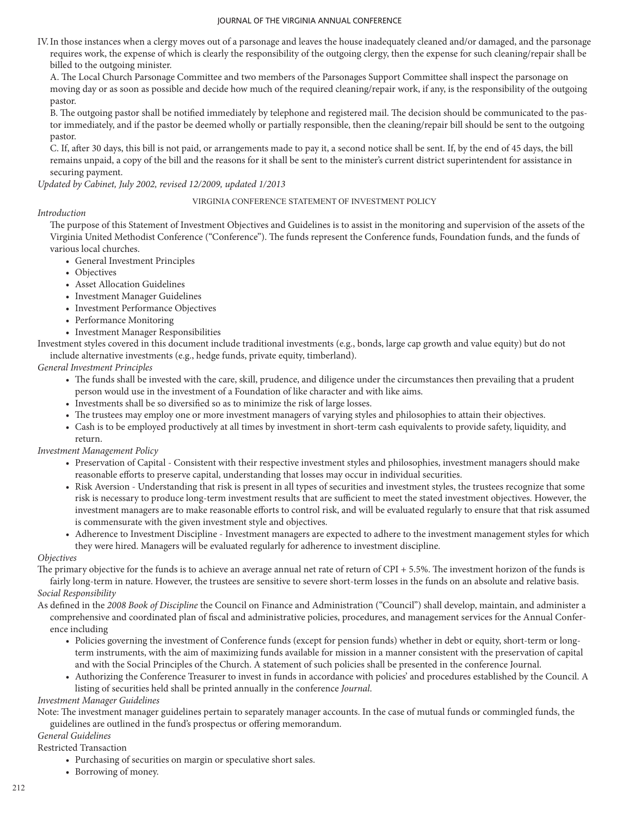IV.In those instances when a clergy moves out of a parsonage and leaves the house inadequately cleaned and/or damaged, and the parsonage requires work, the expense of which is clearly the responsibility of the outgoing clergy, then the expense for such cleaning/repair shall be billed to the outgoing minister.

A. The Local Church Parsonage Committee and two members of the Parsonages Support Committee shall inspect the parsonage on moving day or as soon as possible and decide how much of the required cleaning/repair work, if any, is the responsibility of the outgoing pastor.

B. The outgoing pastor shall be notified immediately by telephone and registered mail. The decision should be communicated to the pastor immediately, and if the pastor be deemed wholly or partially responsible, then the cleaning/repair bill should be sent to the outgoing pastor.

C. If, after 30 days, this bill is not paid, or arrangements made to pay it, a second notice shall be sent. If, by the end of 45 days, the bill remains unpaid, a copy of the bill and the reasons for it shall be sent to the minister's current district superintendent for assistance in securing payment.

*Updated by Cabinet, July 2002, revised 12/2009, updated 1/2013*

# VIRGINIA CONFERENCE STATEMENT OF INVESTMENT POLICY

# *Introduction*

The purpose of this Statement of Investment Objectives and Guidelines is to assist in the monitoring and supervision of the assets of the Virginia United Methodist Conference ("Conference"). The funds represent the Conference funds, Foundation funds, and the funds of various local churches.

- General Investment Principles
- Objectives
- Asset Allocation Guidelines
- Investment Manager Guidelines
- Investment Performance Objectives
- Performance Monitoring
- Investment Manager Responsibilities

Investment styles covered in this document include traditional investments (e.g., bonds, large cap growth and value equity) but do not include alternative investments (e.g., hedge funds, private equity, timberland).

*General Investment Principles*

- The funds shall be invested with the care, skill, prudence, and diligence under the circumstances then prevailing that a prudent person would use in the investment of a Foundation of like character and with like aims.
- Investments shall be so diversified so as to minimize the risk of large losses.
- The trustees may employ one or more investment managers of varying styles and philosophies to attain their objectives.
- Cash is to be employed productively at all times by investment in short-term cash equivalents to provide safety, liquidity, and return.

*Investment Management Policy*

- Preservation of Capital Consistent with their respective investment styles and philosophies, investment managers should make reasonable efforts to preserve capital, understanding that losses may occur in individual securities.
- Risk Aversion Understanding that risk is present in all types of securities and investment styles, the trustees recognize that some risk is necessary to produce long-term investment results that are sufficient to meet the stated investment objectives. However, the investment managers are to make reasonable efforts to control risk, and will be evaluated regularly to ensure that that risk assumed is commensurate with the given investment style and objectives.
- Adherence to Investment Discipline Investment managers are expected to adhere to the investment management styles for which they were hired. Managers will be evaluated regularly for adherence to investment discipline.

# *Objectives*

The primary objective for the funds is to achieve an average annual net rate of return of CPI + 5.5%. The investment horizon of the funds is fairly long-term in nature. However, the trustees are sensitive to severe short-term losses in the funds on an absolute and relative basis. *Social Responsibility*

As defined in the *2008 Book of Discipline* the Council on Finance and Administration ("Council") shall develop, maintain, and administer a comprehensive and coordinated plan of fiscal and administrative policies, procedures, and management services for the Annual Conference including

- Policies governing the investment of Conference funds (except for pension funds) whether in debt or equity, short-term or longterm instruments, with the aim of maximizing funds available for mission in a manner consistent with the preservation of capital and with the Social Principles of the Church. A statement of such policies shall be presented in the conference Journal.
- Authorizing the Conference Treasurer to invest in funds in accordance with policies' and procedures established by the Council. A listing of securities held shall be printed annually in the conference *Journal*.

# *Investment Manager Guidelines*

Note: The investment manager guidelines pertain to separately manager accounts. In the case of mutual funds or commingled funds, the guidelines are outlined in the fund's prospectus or offering memorandum.

# *General Guidelines*

Restricted Transaction

- Purchasing of securities on margin or speculative short sales.
- Borrowing of money.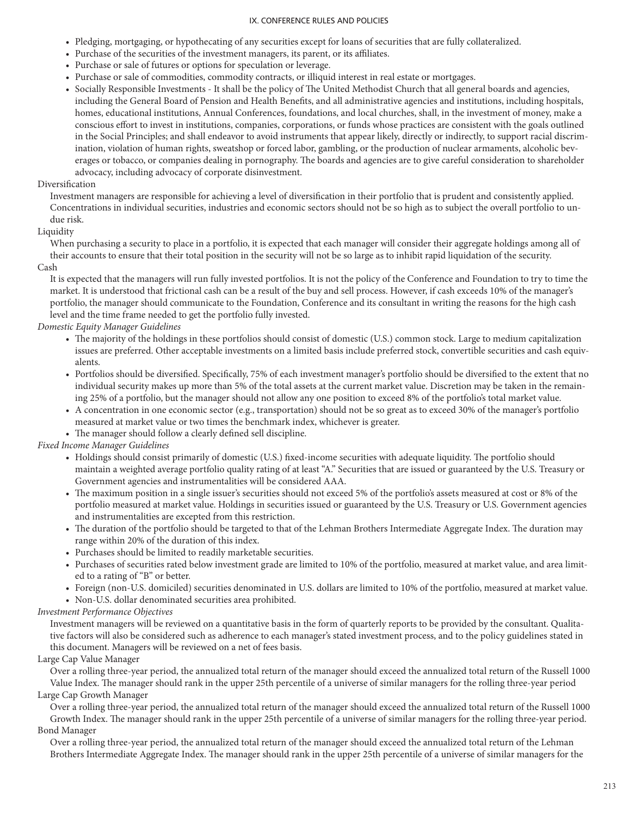- Pledging, mortgaging, or hypothecating of any securities except for loans of securities that are fully collateralized.
- Purchase of the securities of the investment managers, its parent, or its affiliates.
- Purchase or sale of futures or options for speculation or leverage.
- Purchase or sale of commodities, commodity contracts, or illiquid interest in real estate or mortgages.
- Socially Responsible Investments It shall be the policy of The United Methodist Church that all general boards and agencies, including the General Board of Pension and Health Benefits, and all administrative agencies and institutions, including hospitals, homes, educational institutions, Annual Conferences, foundations, and local churches, shall, in the investment of money, make a conscious effort to invest in institutions, companies, corporations, or funds whose practices are consistent with the goals outlined in the Social Principles; and shall endeavor to avoid instruments that appear likely, directly or indirectly, to support racial discrimination, violation of human rights, sweatshop or forced labor, gambling, or the production of nuclear armaments, alcoholic beverages or tobacco, or companies dealing in pornography. The boards and agencies are to give careful consideration to shareholder advocacy, including advocacy of corporate disinvestment.

# Diversification

Investment managers are responsible for achieving a level of diversification in their portfolio that is prudent and consistently applied. Concentrations in individual securities, industries and economic sectors should not be so high as to subject the overall portfolio to undue risk.

# Liquidity

When purchasing a security to place in a portfolio, it is expected that each manager will consider their aggregate holdings among all of their accounts to ensure that their total position in the security will not be so large as to inhibit rapid liquidation of the security. Cash

It is expected that the managers will run fully invested portfolios. It is not the policy of the Conference and Foundation to try to time the market. It is understood that frictional cash can be a result of the buy and sell process. However, if cash exceeds 10% of the manager's portfolio, the manager should communicate to the Foundation, Conference and its consultant in writing the reasons for the high cash level and the time frame needed to get the portfolio fully invested.

# *Domestic Equity Manager Guidelines*

- The majority of the holdings in these portfolios should consist of domestic (U.S.) common stock. Large to medium capitalization issues are preferred. Other acceptable investments on a limited basis include preferred stock, convertible securities and cash equivalents.
- Portfolios should be diversified. Specifically, 75% of each investment manager's portfolio should be diversified to the extent that no individual security makes up more than 5% of the total assets at the current market value. Discretion may be taken in the remaining 25% of a portfolio, but the manager should not allow any one position to exceed 8% of the portfolio's total market value.
- A concentration in one economic sector (e.g., transportation) should not be so great as to exceed 30% of the manager's portfolio measured at market value or two times the benchmark index, whichever is greater.
- The manager should follow a clearly defined sell discipline.

# *Fixed Income Manager Guidelines*

- Holdings should consist primarily of domestic (U.S.) fixed-income securities with adequate liquidity. The portfolio should maintain a weighted average portfolio quality rating of at least "A." Securities that are issued or guaranteed by the U.S. Treasury or Government agencies and instrumentalities will be considered AAA.
- The maximum position in a single issuer's securities should not exceed 5% of the portfolio's assets measured at cost or 8% of the portfolio measured at market value. Holdings in securities issued or guaranteed by the U.S. Treasury or U.S. Government agencies and instrumentalities are excepted from this restriction.
- The duration of the portfolio should be targeted to that of the Lehman Brothers Intermediate Aggregate Index. The duration may range within 20% of the duration of this index.
- Purchases should be limited to readily marketable securities.
- Purchases of securities rated below investment grade are limited to 10% of the portfolio, measured at market value, and area limited to a rating of "B" or better.
- Foreign (non-U.S. domiciled) securities denominated in U.S. dollars are limited to 10% of the portfolio, measured at market value.
- Non-U.S. dollar denominated securities area prohibited.

# *Investment Performance Objectives*

Investment managers will be reviewed on a quantitative basis in the form of quarterly reports to be provided by the consultant. Qualitative factors will also be considered such as adherence to each manager's stated investment process, and to the policy guidelines stated in this document. Managers will be reviewed on a net of fees basis.

# Large Cap Value Manager

Over a rolling three-year period, the annualized total return of the manager should exceed the annualized total return of the Russell 1000 Value Index. The manager should rank in the upper 25th percentile of a universe of similar managers for the rolling three-year period Large Cap Growth Manager

Over a rolling three-year period, the annualized total return of the manager should exceed the annualized total return of the Russell 1000 Growth Index. The manager should rank in the upper 25th percentile of a universe of similar managers for the rolling three-year period. Bond Manager

Over a rolling three-year period, the annualized total return of the manager should exceed the annualized total return of the Lehman Brothers Intermediate Aggregate Index. The manager should rank in the upper 25th percentile of a universe of similar managers for the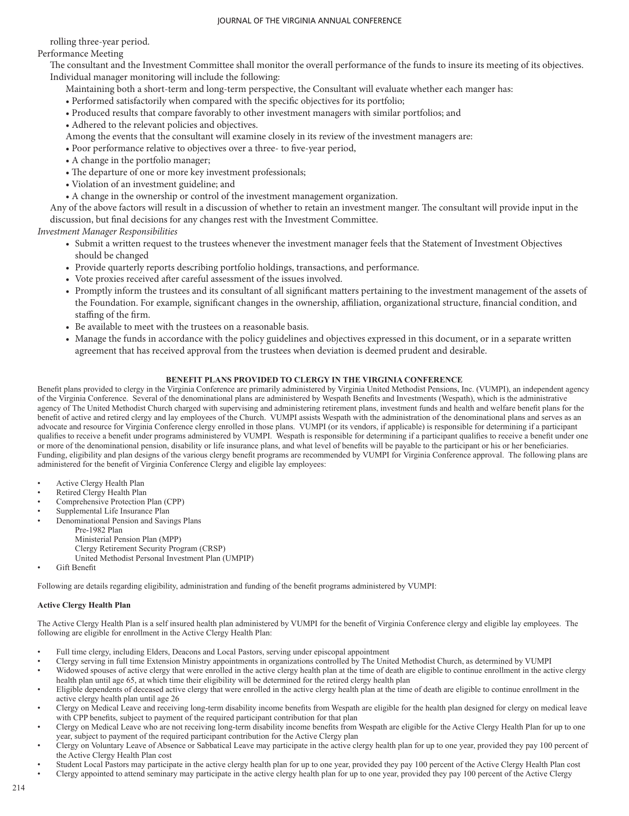rolling three-year period.

Performance Meeting

The consultant and the Investment Committee shall monitor the overall performance of the funds to insure its meeting of its objectives. Individual manager monitoring will include the following:

- Maintaining both a short-term and long-term perspective, the Consultant will evaluate whether each manger has:
- Performed satisfactorily when compared with the specific objectives for its portfolio;
- Produced results that compare favorably to other investment managers with similar portfolios; and
- Adhered to the relevant policies and objectives.
- Among the events that the consultant will examine closely in its review of the investment managers are:
- Poor performance relative to objectives over a three- to five-year period,
- A change in the portfolio manager;
- The departure of one or more key investment professionals;
- Violation of an investment guideline; and
- A change in the ownership or control of the investment management organization.

Any of the above factors will result in a discussion of whether to retain an investment manger. The consultant will provide input in the discussion, but final decisions for any changes rest with the Investment Committee.

*Investment Manager Responsibilities*

- Submit a written request to the trustees whenever the investment manager feels that the Statement of Investment Objectives should be changed
- Provide quarterly reports describing portfolio holdings, transactions, and performance.
- Vote proxies received after careful assessment of the issues involved.
- Promptly inform the trustees and its consultant of all significant matters pertaining to the investment management of the assets of the Foundation. For example, significant changes in the ownership, affiliation, organizational structure, financial condition, and staffing of the firm.
- Be available to meet with the trustees on a reasonable basis.
- Manage the funds in accordance with the policy guidelines and objectives expressed in this document, or in a separate written agreement that has received approval from the trustees when deviation is deemed prudent and desirable.

# **BENEFIT PLANS PROVIDED TO CLERGY IN THE VIRGINIA CONFERENCE**

Benefit plans provided to clergy in the Virginia Conference are primarily administered by Virginia United Methodist Pensions, Inc. (VUMPI), an independent agency of the Virginia Conference. Several of the denominational plans are administered by Wespath Benefits and Investments (Wespath), which is the administrative agency of The United Methodist Church charged with supervising and administering retirement plans, investment funds and health and welfare benefit plans for the benefit of active and retired clergy and lay employees of the Church. VUMPI assists Wespath with the administration of the denominational plans and serves as an advocate and resource for Virginia Conference clergy enrolled in those plans. VUMPI (or its vendors, if applicable) is responsible for determining if a participant qualifies to receive a benefit under programs administered by VUMPI. Wespath is responsible for determining if a participant qualifies to receive a benefit under one or more of the denominational pension, disability or life insurance plans, and what level of benefits will be payable to the participant or his or her beneficiaries. Funding, eligibility and plan designs of the various clergy benefit programs are recommended by VUMPI for Virginia Conference approval. The following plans are administered for the benefit of Virginia Conference Clergy and eligible lay employees:

- Active Clergy Health Plan
- Retired Clergy Health Plan
- Comprehensive Protection Plan (CPP)
- Supplemental Life Insurance Plan
- Denominational Pension and Savings Plans Pre-1982 Plan Ministerial Pension Plan (MPP) Clergy Retirement Security Program (CRSP) United Methodist Personal Investment Plan (UMPIP)
- Gift Benefit

Following are details regarding eligibility, administration and funding of the benefit programs administered by VUMPI:

## **Active Clergy Health Plan**

The Active Clergy Health Plan is a self insured health plan administered by VUMPI for the benefit of Virginia Conference clergy and eligible lay employees. The following are eligible for enrollment in the Active Clergy Health Plan:

- Full time clergy, including Elders, Deacons and Local Pastors, serving under episcopal appointment
- Clergy serving in full time Extension Ministry appointments in organizations controlled by The United Methodist Church, as determined by VUMPI
- Widowed spouses of active clergy that were enrolled in the active clergy health plan at the time of death are eligible to continue enrollment in the active clergy health plan until age 65, at which time their eligibility will be determined for the retired clergy health plan
- Eligible dependents of deceased active clergy that were enrolled in the active clergy health plan at the time of death are eligible to continue enrollment in the active clergy health plan until age 26
- Clergy on Medical Leave and receiving long-term disability income benefits from Wespath are eligible for the health plan designed for clergy on medical leave with CPP benefits, subject to payment of the required participant contribution for that plan
- Clergy on Medical Leave who are not receiving long-term disability income benefits from Wespath are eligible for the Active Clergy Health Plan for up to one year, subject to payment of the required participant contribution for the Active Clergy plan
- Clergy on Voluntary Leave of Absence or Sabbatical Leave may participate in the active clergy health plan for up to one year, provided they pay 100 percent of the Active Clergy Health Plan cost
- Student Local Pastors may participate in the active clergy health plan for up to one year, provided they pay 100 percent of the Active Clergy Health Plan cost
- Clergy appointed to attend seminary may participate in the active clergy health plan for up to one year, provided they pay 100 percent of the Active Clergy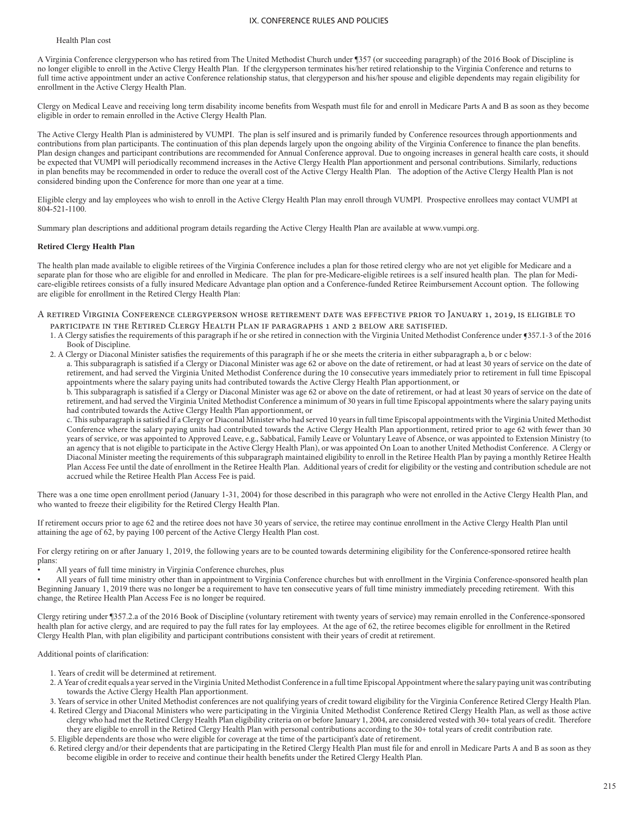### Health Plan cost

A Virginia Conference clergyperson who has retired from The United Methodist Church under ¶357 (or succeeding paragraph) of the 2016 Book of Discipline is no longer eligible to enroll in the Active Clergy Health Plan. If the clergyperson terminates his/her retired relationship to the Virginia Conference and returns to full time active appointment under an active Conference relationship status, that clergyperson and his/her spouse and eligible dependents may regain eligibility for enrollment in the Active Clergy Health Plan.

Clergy on Medical Leave and receiving long term disability income benefits from Wespath must file for and enroll in Medicare Parts A and B as soon as they become eligible in order to remain enrolled in the Active Clergy Health Plan.

The Active Clergy Health Plan is administered by VUMPI. The plan is self insured and is primarily funded by Conference resources through apportionments and contributions from plan participants. The continuation of this plan depends largely upon the ongoing ability of the Virginia Conference to finance the plan benefits. Plan design changes and participant contributions are recommended for Annual Conference approval. Due to ongoing increases in general health care costs, it should be expected that VUMPI will periodically recommend increases in the Active Clergy Health Plan apportionment and personal contributions. Similarly, reductions in plan benefits may be recommended in order to reduce the overall cost of the Active Clergy Health Plan. The adoption of the Active Clergy Health Plan is not considered binding upon the Conference for more than one year at a time.

Eligible clergy and lay employees who wish to enroll in the Active Clergy Health Plan may enroll through VUMPI. Prospective enrollees may contact VUMPI at 804-521-1100.

Summary plan descriptions and additional program details regarding the Active Clergy Health Plan are available at www.vumpi.org.

#### **Retired Clergy Health Plan**

The health plan made available to eligible retirees of the Virginia Conference includes a plan for those retired clergy who are not yet eligible for Medicare and a separate plan for those who are eligible for and enrolled in Medicare. The plan for pre-Medicare-eligible retirees is a self insured health plan. The plan for Medicare-eligible retirees consists of a fully insured Medicare Advantage plan option and a Conference-funded Retiree Reimbursement Account option. The following are eligible for enrollment in the Retired Clergy Health Plan:

## A retired Virginia Conference clergyperson whose retirement date was effective prior to January 1, 2019, is eligible to

- participate in the Retired Clergy Health Plan if paragraphs 1 and 2 below are satisfied.
- 1. A Clergy satisfies the requirements of this paragraph if he or she retired in connection with the Virginia United Methodist Conference under ¶357.1-3 of the 2016 Book of Discipline.
- 2. A Clergy or Diaconal Minister satisfies the requirements of this paragraph if he or she meets the criteria in either subparagraph a, b or c below:

a. This subparagraph is satisfied if a Clergy or Diaconal Minister was age 62 or above on the date of retirement, or had at least 30 years of service on the date of retirement, and had served the Virginia United Methodist Conference during the 10 consecutive years immediately prior to retirement in full time Episcopal appointments where the salary paying units had contributed towards the Active Clergy Health Plan apportionment, or

b. This subparagraph is satisfied if a Clergy or Diaconal Minister was age 62 or above on the date of retirement, or had at least 30 years of service on the date of retirement, and had served the Virginia United Methodist Conference a minimum of 30 years in full time Episcopal appointments where the salary paying units had contributed towards the Active Clergy Health Plan apportionment, or

c. This subparagraph is satisfied if a Clergy or Diaconal Minister who had served 10 years in full time Episcopal appointments with the Virginia United Methodist Conference where the salary paying units had contributed towards the Active Clergy Health Plan apportionment, retired prior to age 62 with fewer than 30 years of service, or was appointed to Approved Leave, e.g., Sabbatical, Family Leave or Voluntary Leave of Absence, or was appointed to Extension Ministry (to an agency that is not eligible to participate in the Active Clergy Health Plan), or was appointed On Loan to another United Methodist Conference. A Clergy or Diaconal Minister meeting the requirements of this subparagraph maintained eligibility to enroll in the Retiree Health Plan by paying a monthly Retiree Health Plan Access Fee until the date of enrollment in the Retiree Health Plan. Additional years of credit for eligibility or the vesting and contribution schedule are not accrued while the Retiree Health Plan Access Fee is paid.

There was a one time open enrollment period (January 1-31, 2004) for those described in this paragraph who were not enrolled in the Active Clergy Health Plan, and who wanted to freeze their eligibility for the Retired Clergy Health Plan.

If retirement occurs prior to age 62 and the retiree does not have 30 years of service, the retiree may continue enrollment in the Active Clergy Health Plan until attaining the age of 62, by paying 100 percent of the Active Clergy Health Plan cost.

For clergy retiring on or after January 1, 2019, the following years are to be counted towards determining eligibility for the Conference-sponsored retiree health plans:

• All years of full time ministry in Virginia Conference churches, plus

• All years of full time ministry other than in appointment to Virginia Conference churches but with enrollment in the Virginia Conference-sponsored health plan Beginning January 1, 2019 there was no longer be a requirement to have ten consecutive years of full time ministry immediately preceding retirement. With this change, the Retiree Health Plan Access Fee is no longer be required.

Clergy retiring under ¶357.2.a of the 2016 Book of Discipline (voluntary retirement with twenty years of service) may remain enrolled in the Conference-sponsored health plan for active clergy, and are required to pay the full rates for lay employees. At the age of 62, the retiree becomes eligible for enrollment in the Retired Clergy Health Plan, with plan eligibility and participant contributions consistent with their years of credit at retirement.

Additional points of clarification:

- 1. Years of credit will be determined at retirement.
- 2. A Year of credit equals a year served in the Virginia United Methodist Conference in a full time Episcopal Appointment where the salary paying unit was contributing towards the Active Clergy Health Plan apportionment.

3. Years of service in other United Methodist conferences are not qualifying years of credit toward eligibility for the Virginia Conference Retired Clergy Health Plan.

4. Retired Clergy and Diaconal Ministers who were participating in the Virginia United Methodist Conference Retired Clergy Health Plan, as well as those active clergy who had met the Retired Clergy Health Plan eligibility criteria on or before January 1, 2004, are considered vested with 30+ total years of credit. Therefore they are eligible to enroll in the Retired Clergy Health Plan with personal contributions according to the 30+ total years of credit contribution rate.

5. Eligible dependents are those who were eligible for coverage at the time of the participant's date of retirement.

6. Retired clergy and/or their dependents that are participating in the Retired Clergy Health Plan must file for and enroll in Medicare Parts A and B as soon as they become eligible in order to receive and continue their health benefits under the Retired Clergy Health Plan.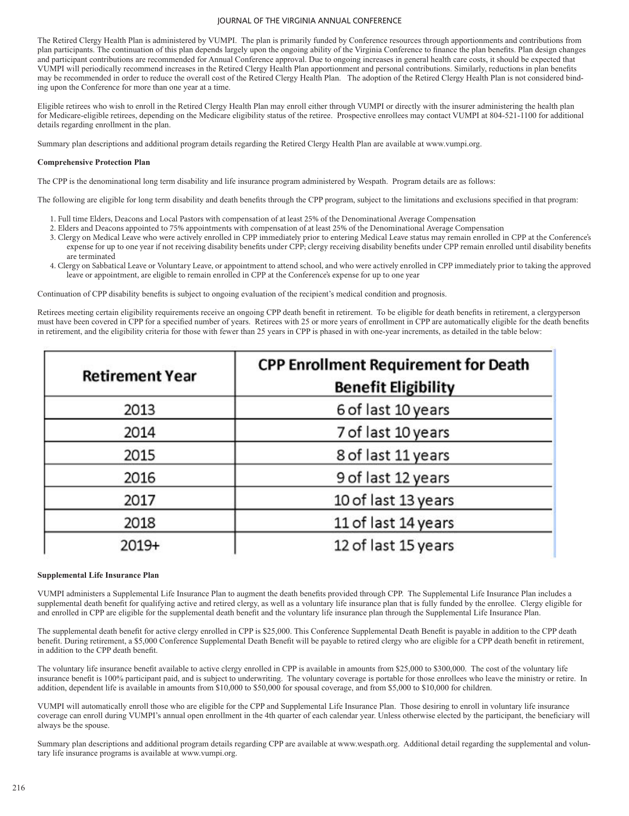The Retired Clergy Health Plan is administered by VUMPI. The plan is primarily funded by Conference resources through apportionments and contributions from plan participants. The continuation of this plan depends largely upon the ongoing ability of the Virginia Conference to finance the plan benefits. Plan design changes and participant contributions are recommended for Annual Conference approval. Due to ongoing increases in general health care costs, it should be expected that VUMPI will periodically recommend increases in the Retired Clergy Health Plan apportionment and personal contributions. Similarly, reductions in plan benefits may be recommended in order to reduce the overall cost of the Retired Clergy Health Plan. The adoption of the Retired Clergy Health Plan is not considered binding upon the Conference for more than one year at a time.

Eligible retirees who wish to enroll in the Retired Clergy Health Plan may enroll either through VUMPI or directly with the insurer administering the health plan for Medicare-eligible retirees, depending on the Medicare eligibility status of the retiree. Prospective enrollees may contact VUMPI at 804-521-1100 for additional details regarding enrollment in the plan.

Summary plan descriptions and additional program details regarding the Retired Clergy Health Plan are available at www.vumpi.org.

### **Comprehensive Protection Plan**

The CPP is the denominational long term disability and life insurance program administered by Wespath. Program details are as follows:

The following are eligible for long term disability and death benefits through the CPP program, subject to the limitations and exclusions specified in that program:

- 1. Full time Elders, Deacons and Local Pastors with compensation of at least 25% of the Denominational Average Compensation
- 2. Elders and Deacons appointed to 75% appointments with compensation of at least 25% of the Denominational Average Compensation
- 3. Clergy on Medical Leave who were actively enrolled in CPP immediately prior to entering Medical Leave status may remain enrolled in CPP at the Conference's expense for up to one year if not receiving disability benefits under CPP; clergy receiving disability benefits under CPP remain enrolled until disability benefits are terminated
- 4. Clergy on Sabbatical Leave or Voluntary Leave, or appointment to attend school, and who were actively enrolled in CPP immediately prior to taking the approved leave or appointment, are eligible to remain enrolled in CPP at the Conference's expense for up to one year

Continuation of CPP disability benefits is subject to ongoing evaluation of the recipient's medical condition and prognosis.

Retirees meeting certain eligibility requirements receive an ongoing CPP death benefit in retirement. To be eligible for death benefits in retirement, a clergyperson must have been covered in CPP for a specified number of years. Retirees with 25 or more years of enrollment in CPP are automatically eligible for the death benefits in retirement, and the eligibility criteria for those with fewer than 25 years in CPP is phased in with one-year increments, as detailed in the table below:

| <b>Retirement Year</b> | <b>CPP Enrollment Requirement for Death</b><br><b>Benefit Eligibility</b> |
|------------------------|---------------------------------------------------------------------------|
| 2013                   | 6 of last 10 years                                                        |
| 2014                   | 7 of last 10 years                                                        |
| 2015                   | 8 of last 11 years                                                        |
| 2016                   | 9 of last 12 years                                                        |
| 2017                   | 10 of last 13 years                                                       |
| 2018                   | 11 of last 14 years                                                       |
| $2019+$                | 12 of last 15 years                                                       |

## **Supplemental Life Insurance Plan**

VUMPI administers a Supplemental Life Insurance Plan to augment the death benefits provided through CPP. The Supplemental Life Insurance Plan includes a supplemental death benefit for qualifying active and retired clergy, as well as a voluntary life insurance plan that is fully funded by the enrollee. Clergy eligible for and enrolled in CPP are eligible for the supplemental death benefit and the voluntary life insurance plan through the Supplemental Life Insurance Plan.

The supplemental death benefit for active clergy enrolled in CPP is \$25,000. This Conference Supplemental Death Benefit is payable in addition to the CPP death benefit. During retirement, a \$5,000 Conference Supplemental Death Benefit will be payable to retired clergy who are eligible for a CPP death benefit in retirement, in addition to the CPP death benefit.

The voluntary life insurance benefit available to active clergy enrolled in CPP is available in amounts from \$25,000 to \$300,000. The cost of the voluntary life insurance benefit is 100% participant paid, and is subject to underwriting. The voluntary coverage is portable for those enrollees who leave the ministry or retire. In addition, dependent life is available in amounts from \$10,000 to \$50,000 for spousal coverage, and from \$5,000 to \$10,000 for children.

VUMPI will automatically enroll those who are eligible for the CPP and Supplemental Life Insurance Plan. Those desiring to enroll in voluntary life insurance coverage can enroll during VUMPI's annual open enrollment in the 4th quarter of each calendar year. Unless otherwise elected by the participant, the beneficiary will always be the spouse.

Summary plan descriptions and additional program details regarding CPP are available at www.wespath.org. Additional detail regarding the supplemental and voluntary life insurance programs is available at www.vumpi.org.